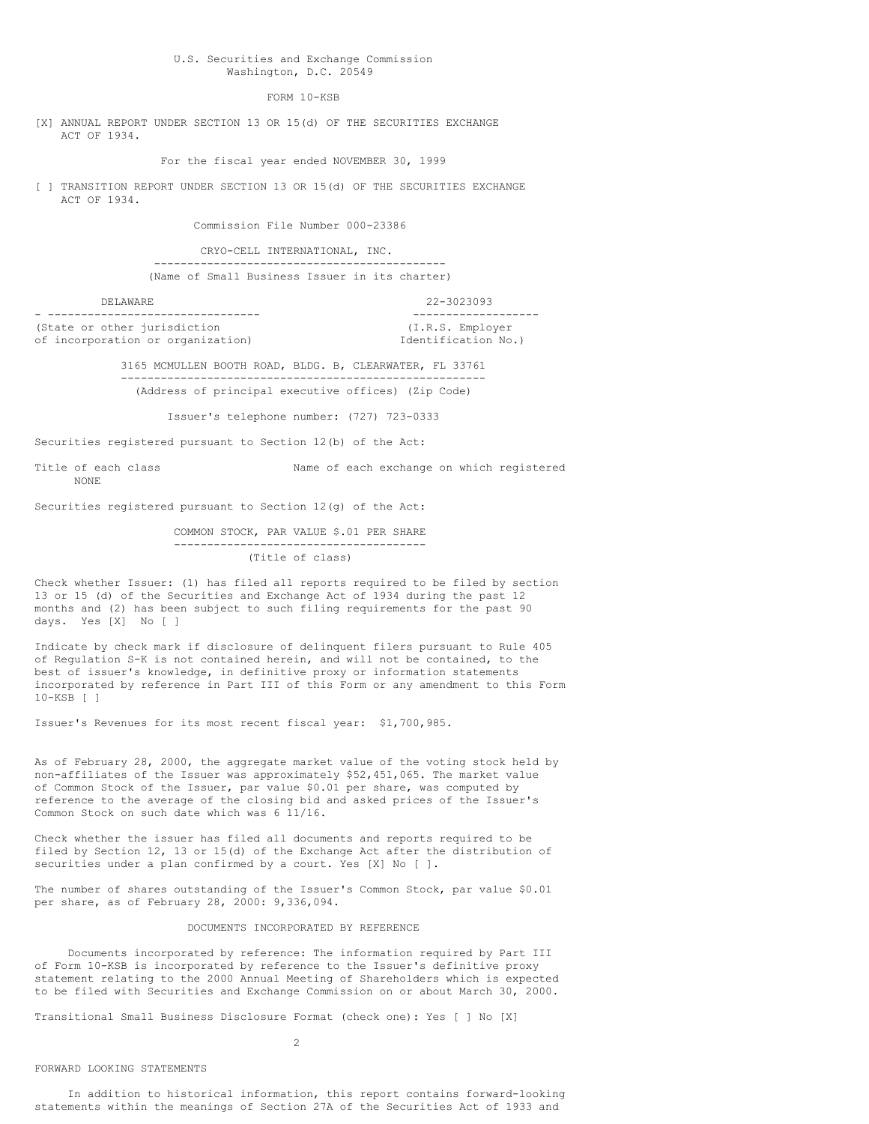# U.S. Securities and Exchange Commission Washington, D.C. 20549

FORM 10-KSB

[X] ANNUAL REPORT UNDER SECTION 13 OR 15(d) OF THE SECURITIES EXCHANGE ACT OF 1934.

For the fiscal year ended NOVEMBER 30, 1999

[ ] TRANSITION REPORT UNDER SECTION 13 OR 15(d) OF THE SECURITIES EXCHANGE ACT OF 1934.

Commission File Number 000-23386

CRYO-CELL INTERNATIONAL, INC.

-------------------------------------------- (Name of Small Business Issuer in its charter)

#### DELAWARE 22-3023093

- -------------------------------- ------------------- (State or other jurisdiction of incorporation or organization) Identification No.)

3165 MCMULLEN BOOTH ROAD, BLDG. B, CLEARWATER, FL 33761 -------------------------------------------------------

(Address of principal executive offices) (Zip Code)

Issuer's telephone number: (727) 723-0333

Securities registered pursuant to Section 12(b) of the Act:

Title of each class Name of each exchange on which registered NONE

Securities registered pursuant to Section 12(g) of the Act:

### COMMON STOCK, PAR VALUE \$.01 PER SHARE -------------------------------------- (Title of class)

Check whether Issuer: (1) has filed all reports required to be filed by section 13 or 15 (d) of the Securities and Exchange Act of 1934 during the past 12 months and (2) has been subject to such filing requirements for the past 90 days. Yes [X] No [ ]

Indicate by check mark if disclosure of delinquent filers pursuant to Rule 405 of Regulation S-K is not contained herein, and will not be contained, to the best of issuer's knowledge, in definitive proxy or information statements incorporated by reference in Part III of this Form or any amendment to this Form 10-KSB [ ]

Issuer's Revenues for its most recent fiscal year: \$1,700,985.

As of February 28, 2000, the aggregate market value of the voting stock held by non-affiliates of the Issuer was approximately \$52,451,065. The market value of Common Stock of the Issuer, par value \$0.01 per share, was computed by reference to the average of the closing bid and asked prices of the Issuer's Common Stock on such date which was 6 11/16.

Check whether the issuer has filed all documents and reports required to be filed by Section 12, 13 or 15(d) of the Exchange Act after the distribution of securities under a plan confirmed by a court. Yes [X] No [ ].

The number of shares outstanding of the Issuer's Common Stock, par value \$0.01 per share, as of February 28, 2000: 9,336,094.

# DOCUMENTS INCORPORATED BY REFERENCE

Documents incorporated by reference: The information required by Part III of Form 10-KSB is incorporated by reference to the Issuer's definitive proxy statement relating to the 2000 Annual Meeting of Shareholders which is expected to be filed with Securities and Exchange Commission on or about March 30, 2000.

Transitional Small Business Disclosure Format (check one): Yes [ ] No [X]

#### $\overline{2}$

# FORWARD LOOKING STATEMENTS

In addition to historical information, this report contains forward-looking statements within the meanings of Section 27A of the Securities Act of 1933 and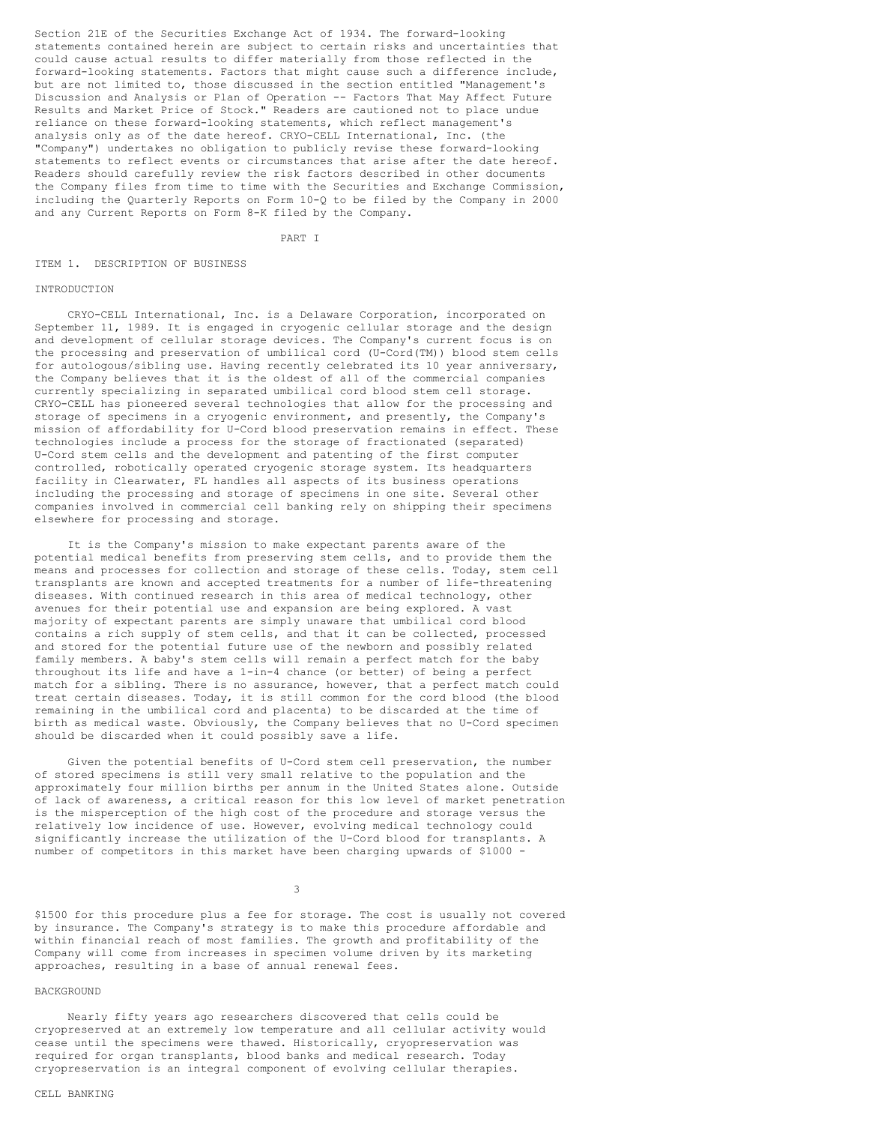Section 21E of the Securities Exchange Act of 1934. The forward-looking statements contained herein are subject to certain risks and uncertainties that could cause actual results to differ materially from those reflected in the forward-looking statements. Factors that might cause such a difference include, but are not limited to, those discussed in the section entitled "Management's Discussion and Analysis or Plan of Operation -- Factors That May Affect Future Results and Market Price of Stock." Readers are cautioned not to place undue reliance on these forward-looking statements, which reflect management's analysis only as of the date hereof. CRYO-CELL International, Inc. (the "Company") undertakes no obligation to publicly revise these forward-looking statements to reflect events or circumstances that arise after the date hereof. Readers should carefully review the risk factors described in other documents the Company files from time to time with the Securities and Exchange Commission, including the Quarterly Reports on Form 10-Q to be filed by the Company in 2000 and any Current Reports on Form 8-K filed by the Company.

PART I

# ITEM 1. DESCRIPTION OF BUSINESS

### INTRODUCTION

CRYO-CELL International, Inc. is a Delaware Corporation, incorporated on September 11, 1989. It is engaged in cryogenic cellular storage and the design and development of cellular storage devices. The Company's current focus is on the processing and preservation of umbilical cord (U-Cord(TM)) blood stem cells for autologous/sibling use. Having recently celebrated its 10 year anniversary, the Company believes that it is the oldest of all of the commercial companies currently specializing in separated umbilical cord blood stem cell storage. CRYO-CELL has pioneered several technologies that allow for the processing and storage of specimens in a cryogenic environment, and presently, the Company's mission of affordability for U-Cord blood preservation remains in effect. These technologies include a process for the storage of fractionated (separated) U-Cord stem cells and the development and patenting of the first computer controlled, robotically operated cryogenic storage system. Its headquarters facility in Clearwater, FL handles all aspects of its business operations including the processing and storage of specimens in one site. Several other companies involved in commercial cell banking rely on shipping their specimens elsewhere for processing and storage.

It is the Company's mission to make expectant parents aware of the potential medical benefits from preserving stem cells, and to provide them the means and processes for collection and storage of these cells. Today, stem cell transplants are known and accepted treatments for a number of life-threatening diseases. With continued research in this area of medical technology, other avenues for their potential use and expansion are being explored. A vast majority of expectant parents are simply unaware that umbilical cord blood contains a rich supply of stem cells, and that it can be collected, processed and stored for the potential future use of the newborn and possibly related family members. A baby's stem cells will remain a perfect match for the baby throughout its life and have a 1-in-4 chance (or better) of being a perfect match for a sibling. There is no assurance, however, that a perfect match could treat certain diseases. Today, it is still common for the cord blood (the blood remaining in the umbilical cord and placenta) to be discarded at the time of birth as medical waste. Obviously, the Company believes that no U-Cord specimen should be discarded when it could possibly save a life.

Given the potential benefits of U-Cord stem cell preservation, the number of stored specimens is still very small relative to the population and the approximately four million births per annum in the United States alone. Outside of lack of awareness, a critical reason for this low level of market penetration is the misperception of the high cost of the procedure and storage versus the relatively low incidence of use. However, evolving medical technology could significantly increase the utilization of the U-Cord blood for transplants. A number of competitors in this market have been charging upwards of \$1000 -

3

\$1500 for this procedure plus a fee for storage. The cost is usually not covered by insurance. The Company's strategy is to make this procedure affordable and within financial reach of most families. The growth and profitability of the Company will come from increases in specimen volume driven by its marketing approaches, resulting in a base of annual renewal fees.

#### BACKGROUND

Nearly fifty years ago researchers discovered that cells could be cryopreserved at an extremely low temperature and all cellular activity would cease until the specimens were thawed. Historically, cryopreservation was required for organ transplants, blood banks and medical research. Today cryopreservation is an integral component of evolving cellular therapies.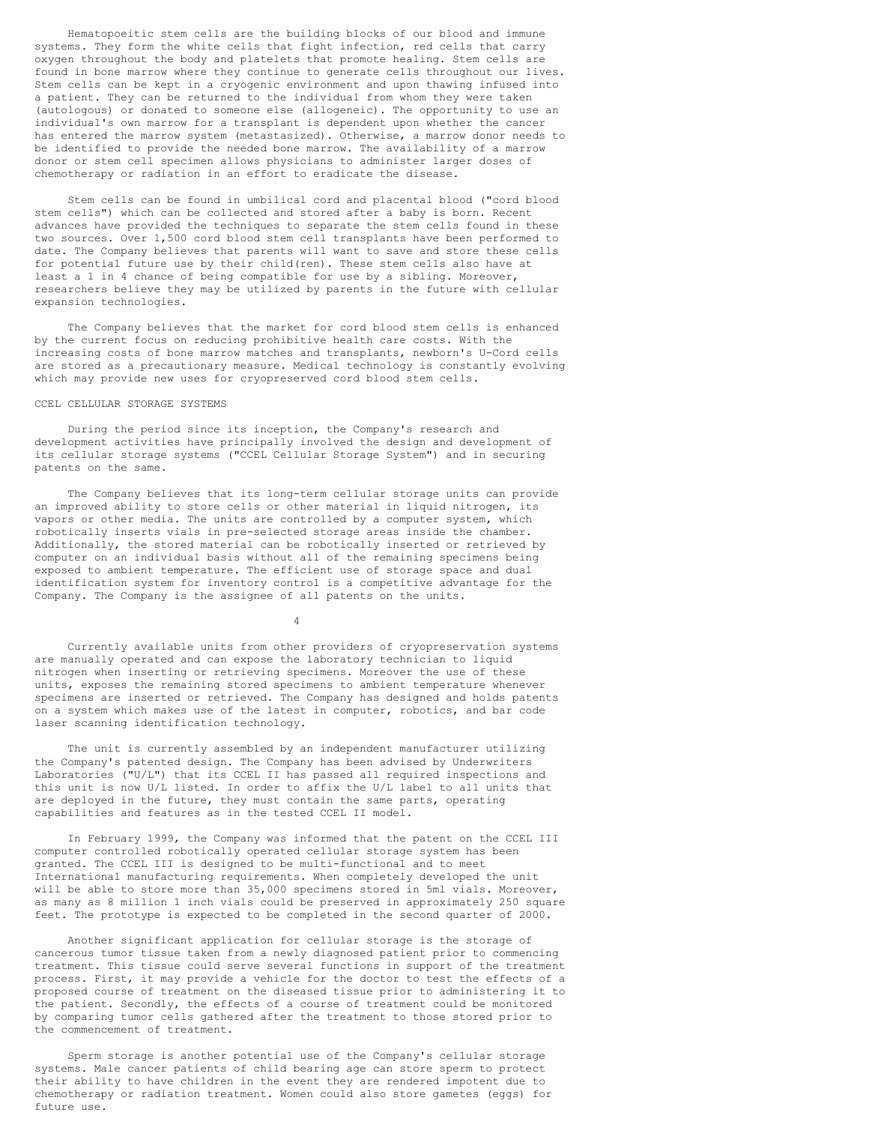Hematopoeitic stem cells are the building blocks of our blood and immune systems. They form the white cells that fight infection, red cells that carry oxygen throughout the body and platelets that promote healing. Stem cells are found in bone marrow where they continue to generate cells throughout our lives. Stem cells can be kept in a cryogenic environment and upon thawing infused into a patient. They can be returned to the individual from whom they were taken (autologous) or donated to someone else (allogeneic). The opportunity to use an individual's own marrow for a transplant is dependent upon whether the cancer has entered the marrow system (metastasized). Otherwise, a marrow donor needs to be identified to provide the needed bone marrow. The availability of a marrow donor or stem cell specimen allows physicians to administer larger doses of chemotherapy or radiation in an effort to eradicate the disease.

Stem cells can be found in umbilical cord and placental blood ("cord blood stem cells") which can be collected and stored after a baby is born. Recent advances have provided the techniques to separate the stem cells found in these two sources. Over 1,500 cord blood stem cell transplants have been performed to date. The Company believes that parents will want to save and store these cells for potential future use by their child(ren). These stem cells also have at least a 1 in 4 chance of being compatible for use by a sibling. Moreover, researchers believe they may be utilized by parents in the future with cellular expansion technologies.

The Company believes that the market for cord blood stem cells is enhanced by the current focus on reducing prohibitive health care costs. With the increasing costs of bone marrow matches and transplants, newborn's U-Cord cells are stored as a precautionary measure. Medical technology is constantly evolving which may provide new uses for cryopreserved cord blood stem cells.

# CCEL CELLULAR STORAGE SYSTEMS

During the period since its inception, the Company's research and development activities have principally involved the design and development of its cellular storage systems ("CCEL Cellular Storage System") and in securing patents on the same.

The Company believes that its long-term cellular storage units can provide an improved ability to store cells or other material in liquid nitrogen, its vapors or other media. The units are controlled by a computer system, which robotically inserts vials in pre-selected storage areas inside the chamber. Additionally, the stored material can be robotically inserted or retrieved by computer on an individual basis without all of the remaining specimens being exposed to ambient temperature. The efficient use of storage space and dual identification system for inventory control is a competitive advantage for the Company. The Company is the assignee of all patents on the units.

4

Currently available units from other providers of cryopreservation systems are manually operated and can expose the laboratory technician to liquid nitrogen when inserting or retrieving specimens. Moreover the use of these units, exposes the remaining stored specimens to ambient temperature whenever specimens are inserted or retrieved. The Company has designed and holds patents on a system which makes use of the latest in computer, robotics, and bar code laser scanning identification technology.

The unit is currently assembled by an independent manufacturer utilizing the Company's patented design. The Company has been advised by Underwriters Laboratories ("U/L") that its CCEL II has passed all required inspections and this unit is now U/L listed. In order to affix the U/L label to all units that are deployed in the future, they must contain the same parts, operating capabilities and features as in the tested CCEL II model.

In February 1999, the Company was informed that the patent on the CCEL III computer controlled robotically operated cellular storage system has been granted. The CCEL III is designed to be multi-functional and to meet International manufacturing requirements. When completely developed the unit will be able to store more than 35,000 specimens stored in 5ml vials. Moreover, as many as 8 million 1 inch vials could be preserved in approximately 250 square feet. The prototype is expected to be completed in the second quarter of 2000.

Another significant application for cellular storage is the storage of cancerous tumor tissue taken from a newly diagnosed patient prior to commencing treatment. This tissue could serve several functions in support of the treatment process. First, it may provide a vehicle for the doctor to test the effects of a proposed course of treatment on the diseased tissue prior to administering it to the patient. Secondly, the effects of a course of treatment could be monitored by comparing tumor cells gathered after the treatment to those stored prior to the commencement of treatment.

Sperm storage is another potential use of the Company's cellular storage systems. Male cancer patients of child bearing age can store sperm to protect their ability to have children in the event they are rendered impotent due to chemotherapy or radiation treatment. Women could also store gametes (eggs) for future use.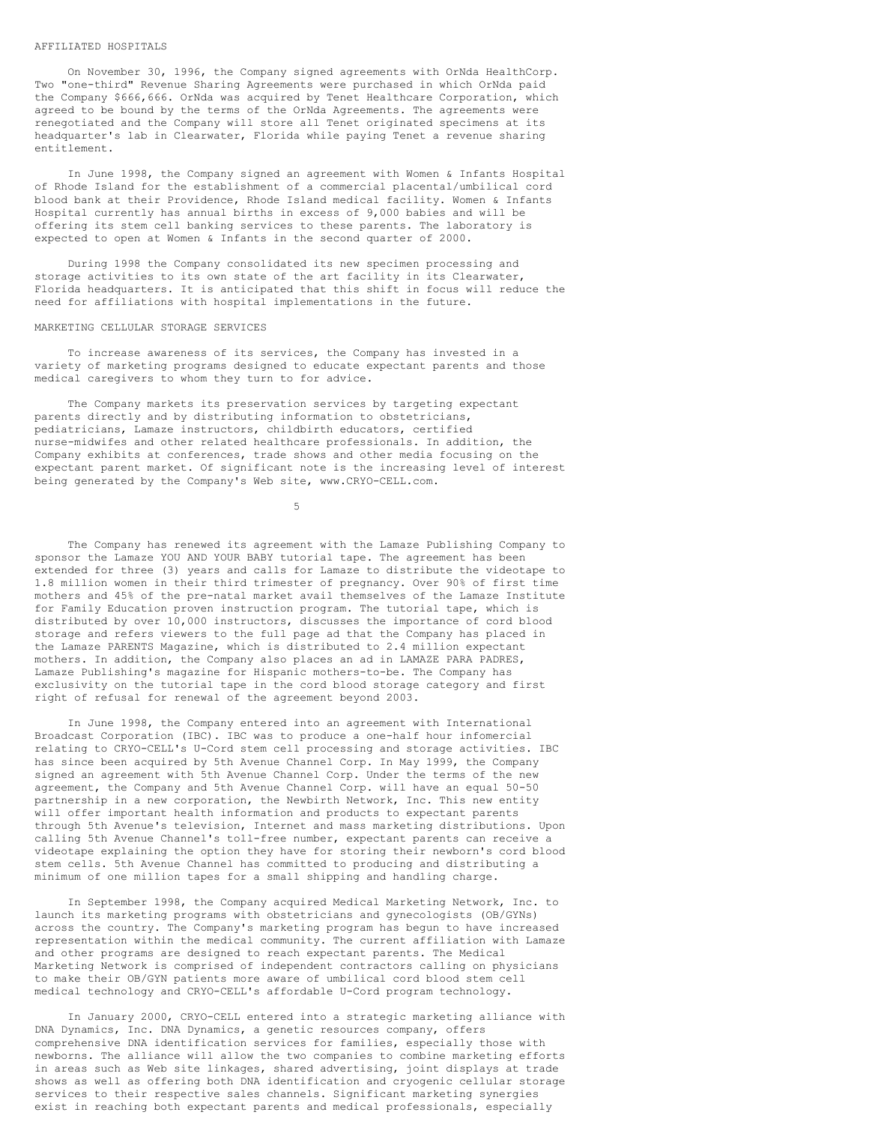#### AFFILIATED HOSPITALS

On November 30, 1996, the Company signed agreements with OrNda HealthCorp. Two "one-third" Revenue Sharing Agreements were purchased in which OrNda paid the Company \$666,666. OrNda was acquired by Tenet Healthcare Corporation, which agreed to be bound by the terms of the OrNda Agreements. The agreements were renegotiated and the Company will store all Tenet originated specimens at its headquarter's lab in Clearwater, Florida while paying Tenet a revenue sharing entitlement.

In June 1998, the Company signed an agreement with Women & Infants Hospital of Rhode Island for the establishment of a commercial placental/umbilical cord blood bank at their Providence, Rhode Island medical facility. Women & Infants Hospital currently has annual births in excess of 9,000 babies and will be offering its stem cell banking services to these parents. The laboratory is expected to open at Women & Infants in the second quarter of 2000.

During 1998 the Company consolidated its new specimen processing and storage activities to its own state of the art facility in its Clearwater, Florida headquarters. It is anticipated that this shift in focus will reduce the need for affiliations with hospital implementations in the future.

## MARKETING CELLULAR STORAGE SERVICES

To increase awareness of its services, the Company has invested in a variety of marketing programs designed to educate expectant parents and those medical caregivers to whom they turn to for advice.

The Company markets its preservation services by targeting expectant parents directly and by distributing information to obstetricians, pediatricians, Lamaze instructors, childbirth educators, certified nurse-midwifes and other related healthcare professionals. In addition, the Company exhibits at conferences, trade shows and other media focusing on the expectant parent market. Of significant note is the increasing level of interest being generated by the Company's Web site, www.CRYO-CELL.com.

5

The Company has renewed its agreement with the Lamaze Publishing Company to sponsor the Lamaze YOU AND YOUR BABY tutorial tape. The agreement has been extended for three (3) years and calls for Lamaze to distribute the videotape to 1.8 million women in their third trimester of pregnancy. Over 90% of first time mothers and 45% of the pre-natal market avail themselves of the Lamaze Institute for Family Education proven instruction program. The tutorial tape, which is distributed by over 10,000 instructors, discusses the importance of cord blood storage and refers viewers to the full page ad that the Company has placed in the Lamaze PARENTS Magazine, which is distributed to 2.4 million expectant mothers. In addition, the Company also places an ad in LAMAZE PARA PADRES, Lamaze Publishing's magazine for Hispanic mothers-to-be. The Company has exclusivity on the tutorial tape in the cord blood storage category and first right of refusal for renewal of the agreement beyond 2003.

In June 1998, the Company entered into an agreement with International Broadcast Corporation (IBC). IBC was to produce a one-half hour infomercial relating to CRYO-CELL's U-Cord stem cell processing and storage activities. IBC has since been acquired by 5th Avenue Channel Corp. In May 1999, the Company signed an agreement with 5th Avenue Channel Corp. Under the terms of the new agreement, the Company and 5th Avenue Channel Corp. will have an equal 50-50 partnership in a new corporation, the Newbirth Network, Inc. This new entity will offer important health information and products to expectant parents through 5th Avenue's television, Internet and mass marketing distributions. Upon calling 5th Avenue Channel's toll-free number, expectant parents can receive a videotape explaining the option they have for storing their newborn's cord blood stem cells. 5th Avenue Channel has committed to producing and distributing a minimum of one million tapes for a small shipping and handling charge.

In September 1998, the Company acquired Medical Marketing Network, Inc. to launch its marketing programs with obstetricians and gynecologists (OB/GYNs) across the country. The Company's marketing program has begun to have increased representation within the medical community. The current affiliation with Lamaze and other programs are designed to reach expectant parents. The Medical Marketing Network is comprised of independent contractors calling on physicians to make their OB/GYN patients more aware of umbilical cord blood stem cell medical technology and CRYO-CELL's affordable U-Cord program technology.

In January 2000, CRYO-CELL entered into a strategic marketing alliance with DNA Dynamics, Inc. DNA Dynamics, a genetic resources company, offers comprehensive DNA identification services for families, especially those with newborns. The alliance will allow the two companies to combine marketing efforts in areas such as Web site linkages, shared advertising, joint displays at trade shows as well as offering both DNA identification and cryogenic cellular storage services to their respective sales channels. Significant marketing synergies exist in reaching both expectant parents and medical professionals, especially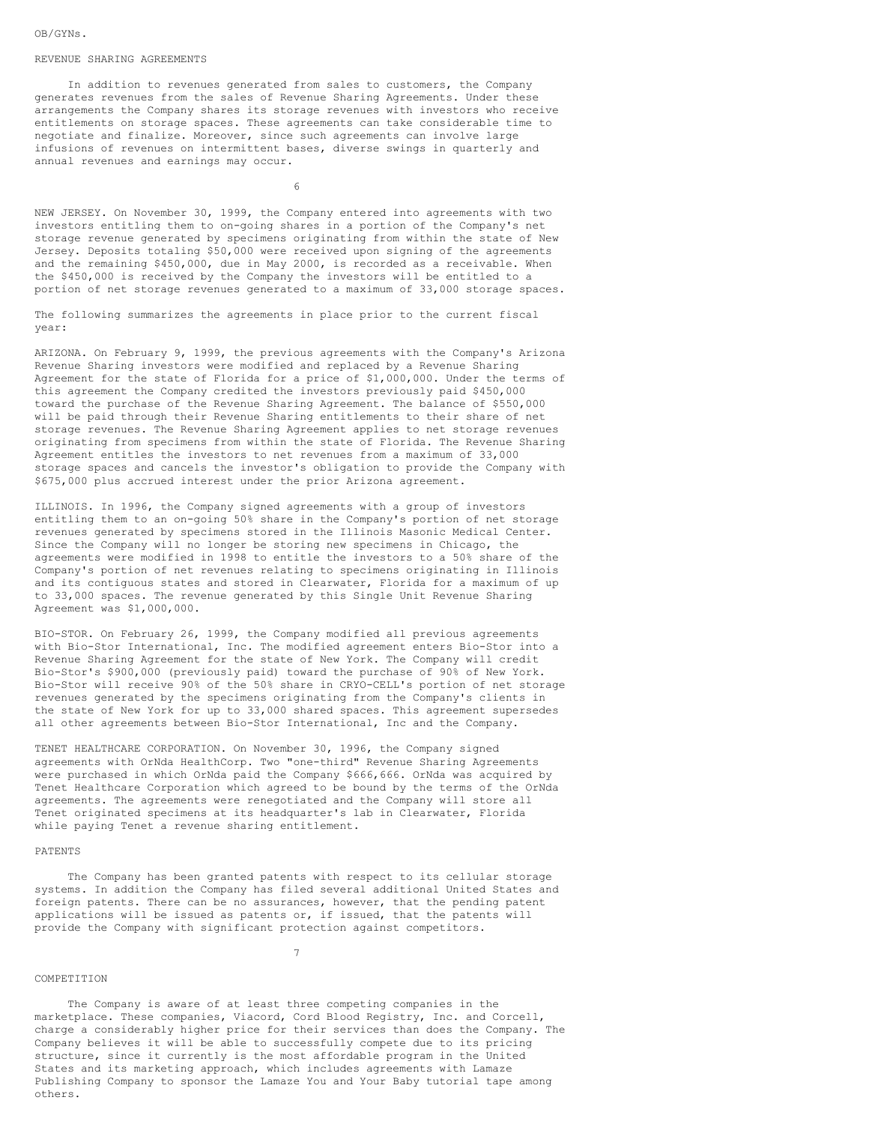#### REVENUE SHARING AGREEMENTS

In addition to revenues generated from sales to customers, the Company generates revenues from the sales of Revenue Sharing Agreements. Under these arrangements the Company shares its storage revenues with investors who receive entitlements on storage spaces. These agreements can take considerable time to negotiate and finalize. Moreover, since such agreements can involve large infusions of revenues on intermittent bases, diverse swings in quarterly and annual revenues and earnings may occur.

6

NEW JERSEY. On November 30, 1999, the Company entered into agreements with two investors entitling them to on-going shares in a portion of the Company's net storage revenue generated by specimens originating from within the state of New Jersey. Deposits totaling \$50,000 were received upon signing of the agreements and the remaining \$450,000, due in May 2000, is recorded as a receivable. When the \$450,000 is received by the Company the investors will be entitled to a portion of net storage revenues generated to a maximum of 33,000 storage spaces.

The following summarizes the agreements in place prior to the current fiscal year:

ARIZONA. On February 9, 1999, the previous agreements with the Company's Arizona Revenue Sharing investors were modified and replaced by a Revenue Sharing Agreement for the state of Florida for a price of \$1,000,000. Under the terms of this agreement the Company credited the investors previously paid \$450,000 toward the purchase of the Revenue Sharing Agreement. The balance of \$550,000 will be paid through their Revenue Sharing entitlements to their share of net storage revenues. The Revenue Sharing Agreement applies to net storage revenues originating from specimens from within the state of Florida. The Revenue Sharing Agreement entitles the investors to net revenues from a maximum of 33,000 storage spaces and cancels the investor's obligation to provide the Company with \$675,000 plus accrued interest under the prior Arizona agreement.

ILLINOIS. In 1996, the Company signed agreements with a group of investors entitling them to an on-going 50% share in the Company's portion of net storage revenues generated by specimens stored in the Illinois Masonic Medical Center. Since the Company will no longer be storing new specimens in Chicago, the agreements were modified in 1998 to entitle the investors to a 50% share of the Company's portion of net revenues relating to specimens originating in Illinois and its contiguous states and stored in Clearwater, Florida for a maximum of up to 33,000 spaces. The revenue generated by this Single Unit Revenue Sharing Agreement was \$1,000,000.

BIO-STOR. On February 26, 1999, the Company modified all previous agreements with Bio-Stor International, Inc. The modified agreement enters Bio-Stor into a Revenue Sharing Agreement for the state of New York. The Company will credit Bio-Stor's \$900,000 (previously paid) toward the purchase of 90% of New York. Bio-Stor will receive 90% of the 50% share in CRYO-CELL's portion of net storage revenues generated by the specimens originating from the Company's clients in the state of New York for up to 33,000 shared spaces. This agreement supersedes all other agreements between Bio-Stor International, Inc and the Company.

TENET HEALTHCARE CORPORATION. On November 30, 1996, the Company signed agreements with OrNda HealthCorp. Two "one-third" Revenue Sharing Agreements were purchased in which OrNda paid the Company \$666,666. OrNda was acquired by Tenet Healthcare Corporation which agreed to be bound by the terms of the OrNda agreements. The agreements were renegotiated and the Company will store all Tenet originated specimens at its headquarter's lab in Clearwater, Florida while paying Tenet a revenue sharing entitlement.

### PATENTS

The Company has been granted patents with respect to its cellular storage systems. In addition the Company has filed several additional United States and foreign patents. There can be no assurances, however, that the pending patent applications will be issued as patents or, if issued, that the patents will provide the Company with significant protection against competitors.

7

#### COMPETITION

The Company is aware of at least three competing companies in the marketplace. These companies, Viacord, Cord Blood Registry, Inc. and Corcell, charge a considerably higher price for their services than does the Company. The Company believes it will be able to successfully compete due to its pricing structure, since it currently is the most affordable program in the United States and its marketing approach, which includes agreements with Lamaze Publishing Company to sponsor the Lamaze You and Your Baby tutorial tape among others.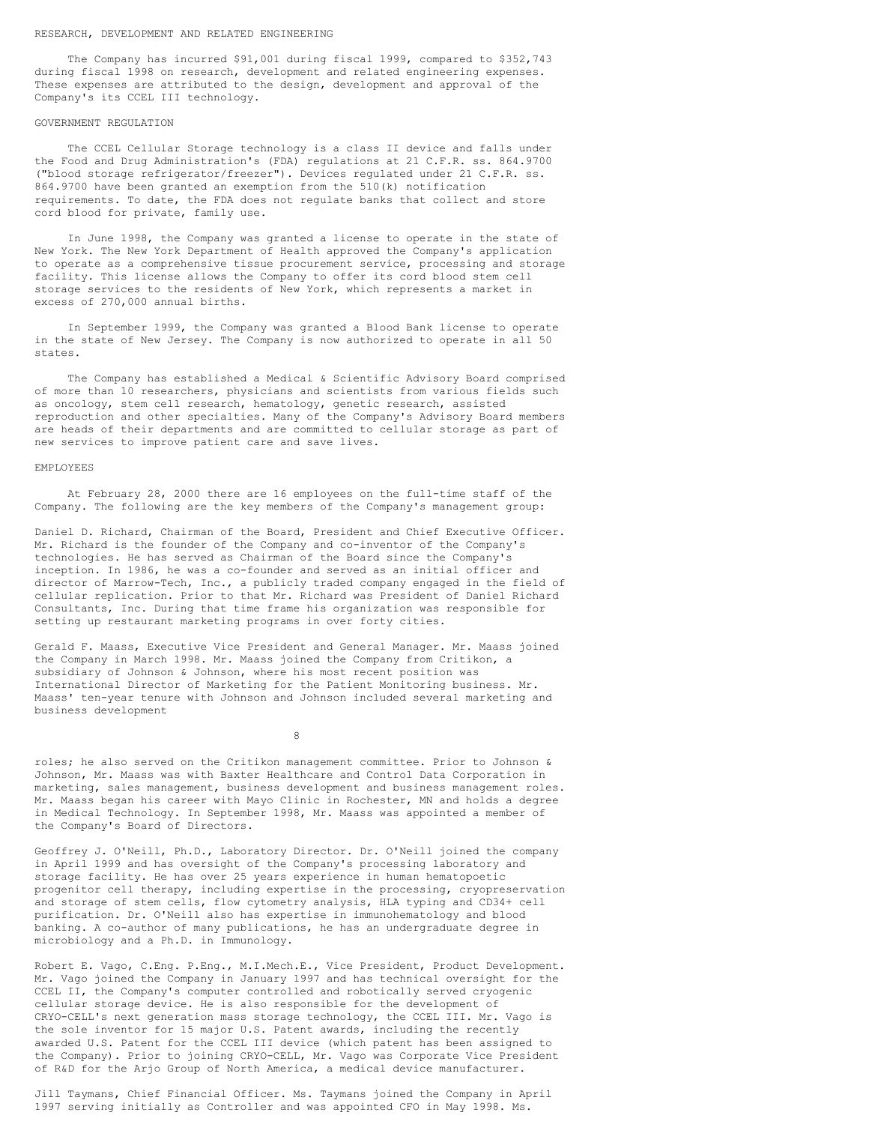#### RESEARCH, DEVELOPMENT AND RELATED ENGINEERING

The Company has incurred \$91,001 during fiscal 1999, compared to \$352,743 during fiscal 1998 on research, development and related engineering expenses. These expenses are attributed to the design, development and approval of the Company's its CCEL III technology.

# GOVERNMENT REGULATION

The CCEL Cellular Storage technology is a class II device and falls under the Food and Drug Administration's (FDA) regulations at 21 C.F.R. ss. 864.9700 ("blood storage refrigerator/freezer"). Devices regulated under 21 C.F.R. ss. 864.9700 have been granted an exemption from the 510(k) notification requirements. To date, the FDA does not regulate banks that collect and store cord blood for private, family use.

In June 1998, the Company was granted a license to operate in the state of New York. The New York Department of Health approved the Company's application to operate as a comprehensive tissue procurement service, processing and storage facility. This license allows the Company to offer its cord blood stem cell storage services to the residents of New York, which represents a market in excess of 270,000 annual births.

In September 1999, the Company was granted a Blood Bank license to operate in the state of New Jersey. The Company is now authorized to operate in all 50 states.

The Company has established a Medical & Scientific Advisory Board comprised of more than 10 researchers, physicians and scientists from various fields such as oncology, stem cell research, hematology, genetic research, assisted reproduction and other specialties. Many of the Company's Advisory Board members are heads of their departments and are committed to cellular storage as part of new services to improve patient care and save lives.

# EMPLOYEES

At February 28, 2000 there are 16 employees on the full-time staff of the Company. The following are the key members of the Company's management group:

Daniel D. Richard, Chairman of the Board, President and Chief Executive Officer. Mr. Richard is the founder of the Company and co-inventor of the Company's technologies. He has served as Chairman of the Board since the Company's inception. In 1986, he was a co-founder and served as an initial officer and director of Marrow-Tech, Inc., a publicly traded company engaged in the field of cellular replication. Prior to that Mr. Richard was President of Daniel Richard Consultants, Inc. During that time frame his organization was responsible for setting up restaurant marketing programs in over forty cities.

Gerald F. Maass, Executive Vice President and General Manager. Mr. Maass joined the Company in March 1998. Mr. Maass joined the Company from Critikon, a subsidiary of Johnson & Johnson, where his most recent position was International Director of Marketing for the Patient Monitoring business. Mr. Maass' ten-year tenure with Johnson and Johnson included several marketing and business development

8

roles; he also served on the Critikon management committee. Prior to Johnson & Johnson, Mr. Maass was with Baxter Healthcare and Control Data Corporation in marketing, sales management, business development and business management roles. Mr. Maass began his career with Mayo Clinic in Rochester, MN and holds a degree in Medical Technology. In September 1998, Mr. Maass was appointed a member of the Company's Board of Directors.

Geoffrey J. O'Neill, Ph.D., Laboratory Director. Dr. O'Neill joined the company in April 1999 and has oversight of the Company's processing laboratory and storage facility. He has over 25 years experience in human hematopoetic progenitor cell therapy, including expertise in the processing, cryopreservation and storage of stem cells, flow cytometry analysis, HLA typing and CD34+ cell purification. Dr. O'Neill also has expertise in immunohematology and blood banking. A co-author of many publications, he has an undergraduate degree in microbiology and a Ph.D. in Immunology.

Robert E. Vago, C.Eng. P.Eng., M.I.Mech.E., Vice President, Product Development. Mr. Vago joined the Company in January 1997 and has technical oversight for the CCEL II, the Company's computer controlled and robotically served cryogenic cellular storage device. He is also responsible for the development of CRYO-CELL's next generation mass storage technology, the CCEL III. Mr. Vago is the sole inventor for 15 major U.S. Patent awards, including the recently awarded U.S. Patent for the CCEL III device (which patent has been assigned to the Company). Prior to joining CRYO-CELL, Mr. Vago was Corporate Vice President of R&D for the Arjo Group of North America, a medical device manufacturer.

Jill Taymans, Chief Financial Officer. Ms. Taymans joined the Company in April 1997 serving initially as Controller and was appointed CFO in May 1998. Ms.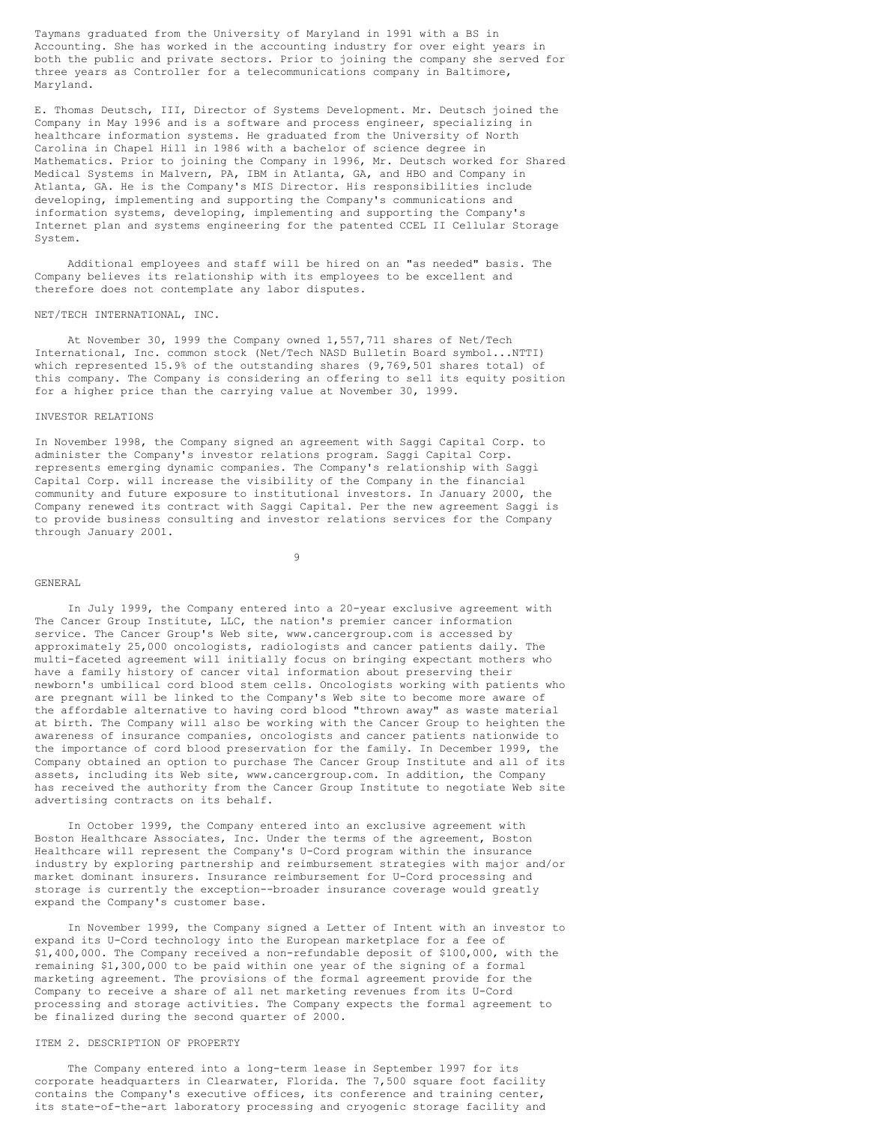Taymans graduated from the University of Maryland in 1991 with a BS in Accounting. She has worked in the accounting industry for over eight years in both the public and private sectors. Prior to joining the company she served for three years as Controller for a telecommunications company in Baltimore, Maryland.

E. Thomas Deutsch, III, Director of Systems Development. Mr. Deutsch joined the Company in May 1996 and is a software and process engineer, specializing in healthcare information systems. He graduated from the University of North Carolina in Chapel Hill in 1986 with a bachelor of science degree in Mathematics. Prior to joining the Company in 1996, Mr. Deutsch worked for Shared Medical Systems in Malvern, PA, IBM in Atlanta, GA, and HBO and Company in Atlanta, GA. He is the Company's MIS Director. His responsibilities include developing, implementing and supporting the Company's communications and information systems, developing, implementing and supporting the Company's Internet plan and systems engineering for the patented CCEL II Cellular Storage System.

Additional employees and staff will be hired on an "as needed" basis. The Company believes its relationship with its employees to be excellent and therefore does not contemplate any labor disputes.

#### NET/TECH INTERNATIONAL, INC.

At November 30, 1999 the Company owned 1,557,711 shares of Net/Tech International, Inc. common stock (Net/Tech NASD Bulletin Board symbol...NTTI) which represented 15.9% of the outstanding shares (9,769,501 shares total) of this company. The Company is considering an offering to sell its equity position for a higher price than the carrying value at November 30, 1999.

#### INVESTOR RELATIONS

In November 1998, the Company signed an agreement with Saggi Capital Corp. to administer the Company's investor relations program. Saggi Capital Corp. represents emerging dynamic companies. The Company's relationship with Saggi Capital Corp. will increase the visibility of the Company in the financial community and future exposure to institutional investors. In January 2000, the Company renewed its contract with Saggi Capital. Per the new agreement Saggi is to provide business consulting and investor relations services for the Company through January 2001.

9

#### GENERAL

In July 1999, the Company entered into a 20-year exclusive agreement with The Cancer Group Institute, LLC, the nation's premier cancer information service. The Cancer Group's Web site, www.cancergroup.com is accessed by approximately 25,000 oncologists, radiologists and cancer patients daily. The multi-faceted agreement will initially focus on bringing expectant mothers who have a family history of cancer vital information about preserving their newborn's umbilical cord blood stem cells. Oncologists working with patients who are pregnant will be linked to the Company's Web site to become more aware of the affordable alternative to having cord blood "thrown away" as waste material at birth. The Company will also be working with the Cancer Group to heighten the awareness of insurance companies, oncologists and cancer patients nationwide to the importance of cord blood preservation for the family. In December 1999, the Company obtained an option to purchase The Cancer Group Institute and all of its assets, including its Web site, www.cancergroup.com. In addition, the Company has received the authority from the Cancer Group Institute to negotiate Web site advertising contracts on its behalf.

In October 1999, the Company entered into an exclusive agreement with Boston Healthcare Associates, Inc. Under the terms of the agreement, Boston Healthcare will represent the Company's U-Cord program within the insurance industry by exploring partnership and reimbursement strategies with major and/or market dominant insurers. Insurance reimbursement for U-Cord processing and storage is currently the exception--broader insurance coverage would greatly expand the Company's customer base.

In November 1999, the Company signed a Letter of Intent with an investor to expand its U-Cord technology into the European marketplace for a fee of \$1,400,000. The Company received a non-refundable deposit of \$100,000, with the remaining \$1,300,000 to be paid within one year of the signing of a formal marketing agreement. The provisions of the formal agreement provide for the Company to receive a share of all net marketing revenues from its U-Cord processing and storage activities. The Company expects the formal agreement to be finalized during the second quarter of 2000.

# ITEM 2. DESCRIPTION OF PROPERTY

The Company entered into a long-term lease in September 1997 for its corporate headquarters in Clearwater, Florida. The 7,500 square foot facility contains the Company's executive offices, its conference and training center, its state-of-the-art laboratory processing and cryogenic storage facility and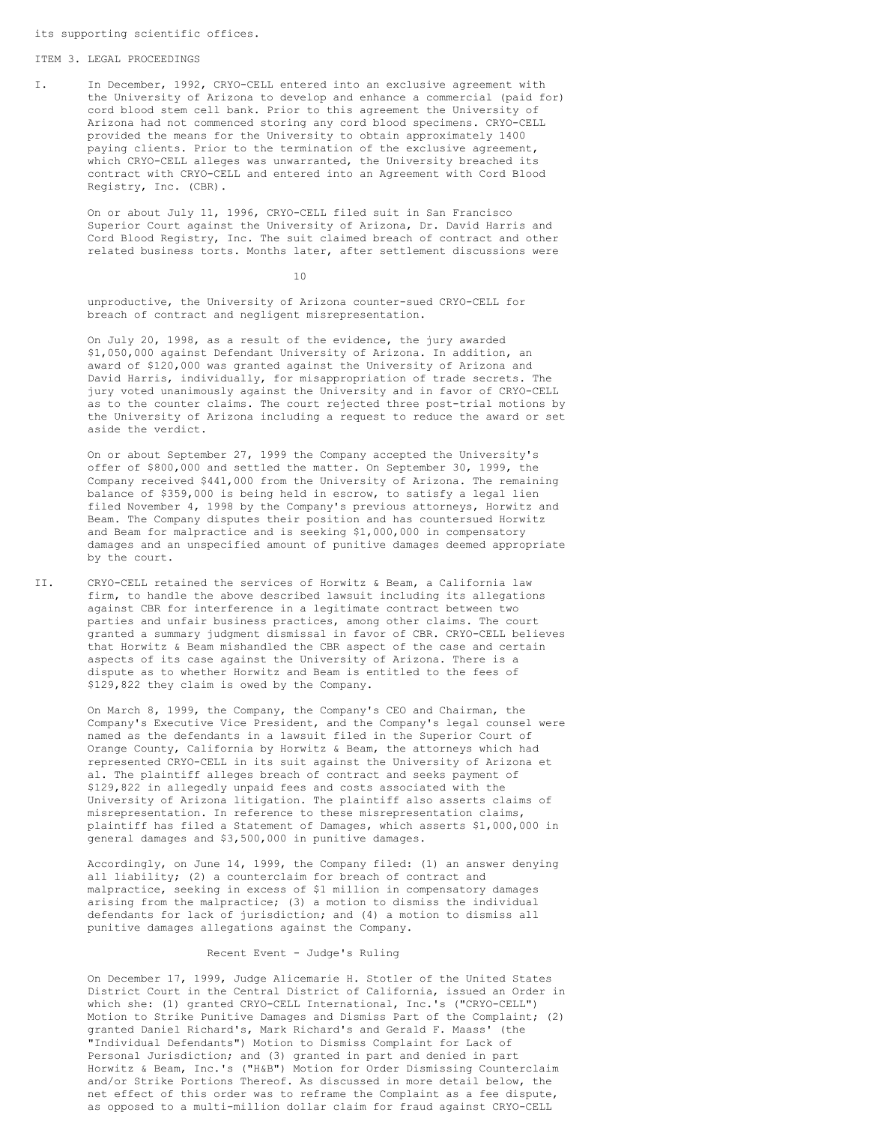its supporting scientific offices.

#### ITEM 3. LEGAL PROCEEDINGS

I. In December, 1992, CRYO-CELL entered into an exclusive agreement with the University of Arizona to develop and enhance a commercial (paid for) cord blood stem cell bank. Prior to this agreement the University of Arizona had not commenced storing any cord blood specimens. CRYO-CELL provided the means for the University to obtain approximately 1400 paying clients. Prior to the termination of the exclusive agreement, which CRYO-CELL alleges was unwarranted, the University breached its contract with CRYO-CELL and entered into an Agreement with Cord Blood Registry, Inc. (CBR).

On or about July 11, 1996, CRYO-CELL filed suit in San Francisco Superior Court against the University of Arizona, Dr. David Harris and Cord Blood Registry, Inc. The suit claimed breach of contract and other related business torts. Months later, after settlement discussions were

10

unproductive, the University of Arizona counter-sued CRYO-CELL for breach of contract and negligent misrepresentation.

On July 20, 1998, as a result of the evidence, the jury awarded \$1,050,000 against Defendant University of Arizona. In addition, an award of \$120,000 was granted against the University of Arizona and David Harris, individually, for misappropriation of trade secrets. The jury voted unanimously against the University and in favor of CRYO-CELL as to the counter claims. The court rejected three post-trial motions by the University of Arizona including a request to reduce the award or set aside the verdict.

On or about September 27, 1999 the Company accepted the University's offer of \$800,000 and settled the matter. On September 30, 1999, the Company received \$441,000 from the University of Arizona. The remaining balance of \$359,000 is being held in escrow, to satisfy a legal lien filed November 4, 1998 by the Company's previous attorneys, Horwitz and Beam. The Company disputes their position and has countersued Horwitz and Beam for malpractice and is seeking \$1,000,000 in compensatory damages and an unspecified amount of punitive damages deemed appropriate by the court.

II. CRYO-CELL retained the services of Horwitz & Beam, a California law firm, to handle the above described lawsuit including its allegations against CBR for interference in a legitimate contract between two parties and unfair business practices, among other claims. The court granted a summary judgment dismissal in favor of CBR. CRYO-CELL believes that Horwitz & Beam mishandled the CBR aspect of the case and certain aspects of its case against the University of Arizona. There is a dispute as to whether Horwitz and Beam is entitled to the fees of \$129,822 they claim is owed by the Company.

> On March 8, 1999, the Company, the Company's CEO and Chairman, the Company's Executive Vice President, and the Company's legal counsel were named as the defendants in a lawsuit filed in the Superior Court of Orange County, California by Horwitz & Beam, the attorneys which had represented CRYO-CELL in its suit against the University of Arizona et al. The plaintiff alleges breach of contract and seeks payment of \$129,822 in allegedly unpaid fees and costs associated with the University of Arizona litigation. The plaintiff also asserts claims of misrepresentation. In reference to these misrepresentation claims, plaintiff has filed a Statement of Damages, which asserts \$1,000,000 in general damages and \$3,500,000 in punitive damages.

Accordingly, on June 14, 1999, the Company filed: (1) an answer denying all liability; (2) a counterclaim for breach of contract and malpractice, seeking in excess of \$1 million in compensatory damages arising from the malpractice; (3) a motion to dismiss the individual defendants for lack of jurisdiction; and (4) a motion to dismiss all punitive damages allegations against the Company.

# Recent Event - Judge's Ruling

On December 17, 1999, Judge Alicemarie H. Stotler of the United States District Court in the Central District of California, issued an Order in which she: (1) granted CRYO-CELL International, Inc.'s ("CRYO-CELL") Motion to Strike Punitive Damages and Dismiss Part of the Complaint; (2) granted Daniel Richard's, Mark Richard's and Gerald F. Maass' (the "Individual Defendants") Motion to Dismiss Complaint for Lack of Personal Jurisdiction; and (3) granted in part and denied in part Horwitz & Beam, Inc.'s ("H&B") Motion for Order Dismissing Counterclaim and/or Strike Portions Thereof. As discussed in more detail below, the net effect of this order was to reframe the Complaint as a fee dispute, as opposed to a multi-million dollar claim for fraud against CRYO-CELL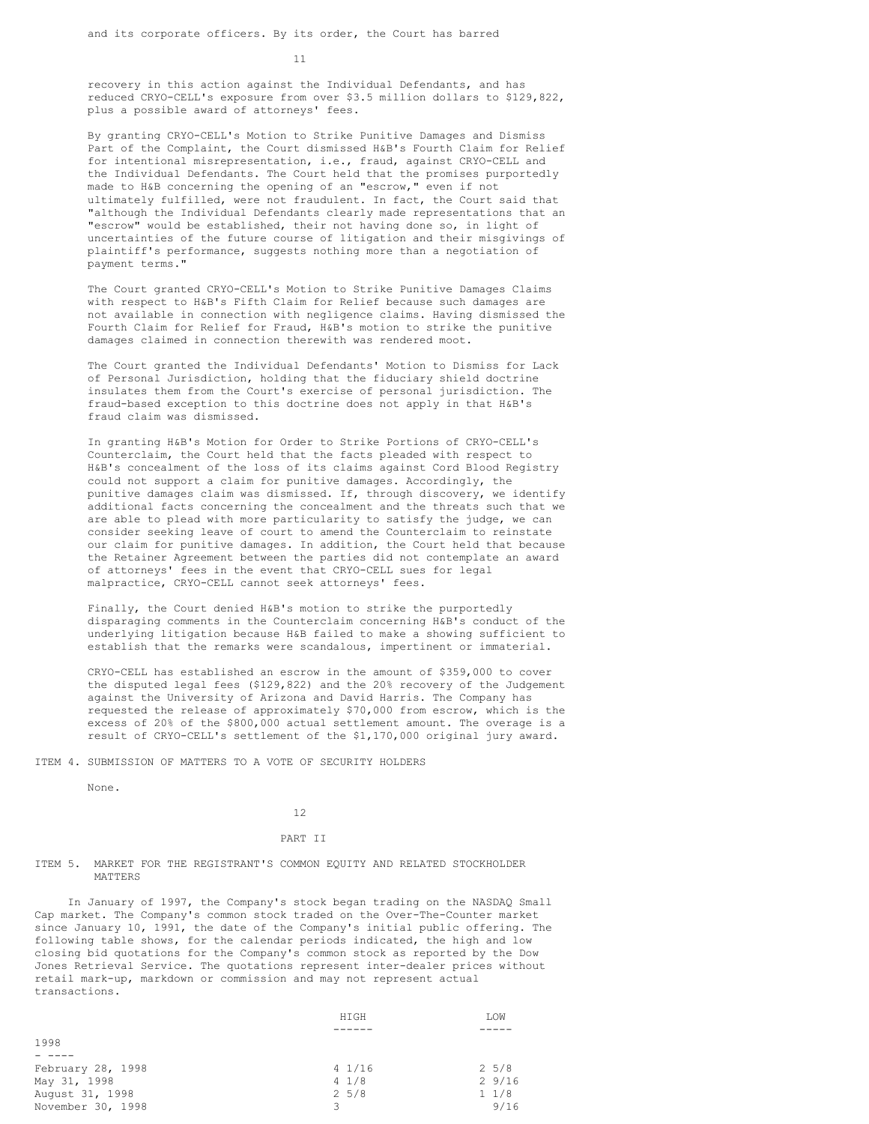11

recovery in this action against the Individual Defendants, and has reduced CRYO-CELL's exposure from over \$3.5 million dollars to \$129,822, plus a possible award of attorneys' fees.

By granting CRYO-CELL's Motion to Strike Punitive Damages and Dismiss Part of the Complaint, the Court dismissed H&B's Fourth Claim for Relief for intentional misrepresentation, i.e., fraud, against CRYO-CELL and the Individual Defendants. The Court held that the promises purportedly made to H&B concerning the opening of an "escrow," even if not ultimately fulfilled, were not fraudulent. In fact, the Court said that "although the Individual Defendants clearly made representations that an "escrow" would be established, their not having done so, in light of uncertainties of the future course of litigation and their misgivings of plaintiff's performance, suggests nothing more than a negotiation of payment terms."

The Court granted CRYO-CELL's Motion to Strike Punitive Damages Claims with respect to H&B's Fifth Claim for Relief because such damages are not available in connection with negligence claims. Having dismissed the Fourth Claim for Relief for Fraud, H&B's motion to strike the punitive damages claimed in connection therewith was rendered moot.

The Court granted the Individual Defendants' Motion to Dismiss for Lack of Personal Jurisdiction, holding that the fiduciary shield doctrine insulates them from the Court's exercise of personal jurisdiction. The fraud-based exception to this doctrine does not apply in that H&B's fraud claim was dismissed.

In granting H&B's Motion for Order to Strike Portions of CRYO-CELL's Counterclaim, the Court held that the facts pleaded with respect to H&B's concealment of the loss of its claims against Cord Blood Registry could not support a claim for punitive damages. Accordingly, the punitive damages claim was dismissed. If, through discovery, we identify additional facts concerning the concealment and the threats such that we are able to plead with more particularity to satisfy the judge, we can consider seeking leave of court to amend the Counterclaim to reinstate our claim for punitive damages. In addition, the Court held that because the Retainer Agreement between the parties did not contemplate an award of attorneys' fees in the event that CRYO-CELL sues for legal malpractice, CRYO-CELL cannot seek attorneys' fees.

Finally, the Court denied H&B's motion to strike the purportedly disparaging comments in the Counterclaim concerning H&B's conduct of the underlying litigation because H&B failed to make a showing sufficient to establish that the remarks were scandalous, impertinent or immaterial.

CRYO-CELL has established an escrow in the amount of \$359,000 to cover the disputed legal fees (\$129,822) and the 20% recovery of the Judgement against the University of Arizona and David Harris. The Company has requested the release of approximately \$70,000 from escrow, which is the excess of 20% of the \$800,000 actual settlement amount. The overage is a result of CRYO-CELL's settlement of the \$1,170,000 original jury award.

ITEM 4. SUBMISSION OF MATTERS TO A VOTE OF SECURITY HOLDERS

None.

12

#### PART II

# ITEM 5. MARKET FOR THE REGISTRANT'S COMMON EQUITY AND RELATED STOCKHOLDER MATTERS

In January of 1997, the Company's stock began trading on the NASDAQ Small Cap market. The Company's common stock traded on the Over-The-Counter market since January 10, 1991, the date of the Company's initial public offering. The following table shows, for the calendar periods indicated, the high and low closing bid quotations for the Company's common stock as reported by the Dow Jones Retrieval Service. The quotations represent inter-dealer prices without retail mark-up, markdown or commission and may not represent actual transactions.

|                   | HIGH       | LOW        |
|-------------------|------------|------------|
|                   |            |            |
| 1998              |            |            |
|                   |            |            |
| February 28, 1998 | 41/16      | $2\;\;5/8$ |
| May 31, 1998      | 41/8       | 29/16      |
| August 31, 1998   | $2\;\;5/8$ | $1 \t1/8$  |
| November 30, 1998 | 3          | 9/16       |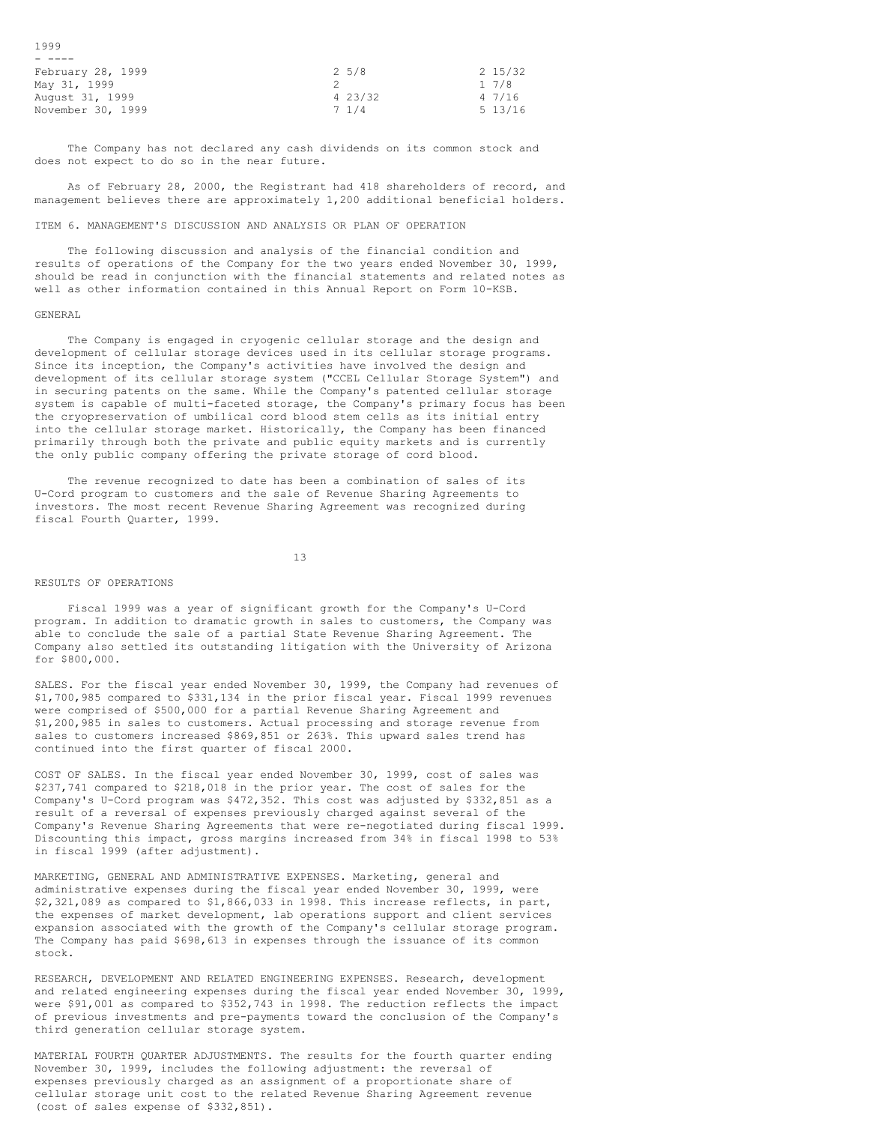| - 1999            |                 |         |
|-------------------|-----------------|---------|
|                   |                 |         |
| February 28, 1999 | $2\;\;5/8$      | 2 15/32 |
| May 31, 1999      |                 | 17/8    |
| August 31, 1999   | 4 23/32         | 47/16   |
| November 30, 1999 | $7 \frac{1}{4}$ | 5 13/16 |

The Company has not declared any cash dividends on its common stock and does not expect to do so in the near future.

As of February 28, 2000, the Registrant had 418 shareholders of record, and management believes there are approximately 1,200 additional beneficial holders.

# ITEM 6. MANAGEMENT'S DISCUSSION AND ANALYSIS OR PLAN OF OPERATION

The following discussion and analysis of the financial condition and results of operations of the Company for the two years ended November 30, 1999, should be read in conjunction with the financial statements and related notes as well as other information contained in this Annual Report on Form 10-KSB.

#### GENERAL

1999

The Company is engaged in cryogenic cellular storage and the design and development of cellular storage devices used in its cellular storage programs. Since its inception, the Company's activities have involved the design and development of its cellular storage system ("CCEL Cellular Storage System") and in securing patents on the same. While the Company's patented cellular storage system is capable of multi-faceted storage, the Company's primary focus has been the cryopreservation of umbilical cord blood stem cells as its initial entry into the cellular storage market. Historically, the Company has been financed primarily through both the private and public equity markets and is currently the only public company offering the private storage of cord blood.

The revenue recognized to date has been a combination of sales of its U-Cord program to customers and the sale of Revenue Sharing Agreements to investors. The most recent Revenue Sharing Agreement was recognized during fiscal Fourth Quarter, 1999.

13

#### RESULTS OF OPERATIONS

Fiscal 1999 was a year of significant growth for the Company's U-Cord program. In addition to dramatic growth in sales to customers, the Company was able to conclude the sale of a partial State Revenue Sharing Agreement. The Company also settled its outstanding litigation with the University of Arizona for \$800,000.

SALES. For the fiscal year ended November 30, 1999, the Company had revenues of \$1,700,985 compared to \$331,134 in the prior fiscal year. Fiscal 1999 revenues were comprised of \$500,000 for a partial Revenue Sharing Agreement and \$1,200,985 in sales to customers. Actual processing and storage revenue from sales to customers increased \$869,851 or 263%. This upward sales trend has continued into the first quarter of fiscal 2000.

COST OF SALES. In the fiscal year ended November 30, 1999, cost of sales was \$237,741 compared to \$218,018 in the prior year. The cost of sales for the Company's U-Cord program was \$472,352. This cost was adjusted by \$332,851 as a result of a reversal of expenses previously charged against several of the Company's Revenue Sharing Agreements that were re-negotiated during fiscal 1999. Discounting this impact, gross margins increased from 34% in fiscal 1998 to 53% in fiscal 1999 (after adjustment).

MARKETING, GENERAL AND ADMINISTRATIVE EXPENSES. Marketing, general and administrative expenses during the fiscal year ended November 30, 1999, were \$2,321,089 as compared to \$1,866,033 in 1998. This increase reflects, in part, the expenses of market development, lab operations support and client services expansion associated with the growth of the Company's cellular storage program. The Company has paid \$698,613 in expenses through the issuance of its common stock.

RESEARCH, DEVELOPMENT AND RELATED ENGINEERING EXPENSES. Research, development and related engineering expenses during the fiscal year ended November 30, 1999, were \$91,001 as compared to \$352,743 in 1998. The reduction reflects the impact of previous investments and pre-payments toward the conclusion of the Company's third generation cellular storage system.

MATERIAL FOURTH QUARTER ADJUSTMENTS. The results for the fourth quarter ending November 30, 1999, includes the following adjustment: the reversal of expenses previously charged as an assignment of a proportionate share of cellular storage unit cost to the related Revenue Sharing Agreement revenue (cost of sales expense of \$332,851).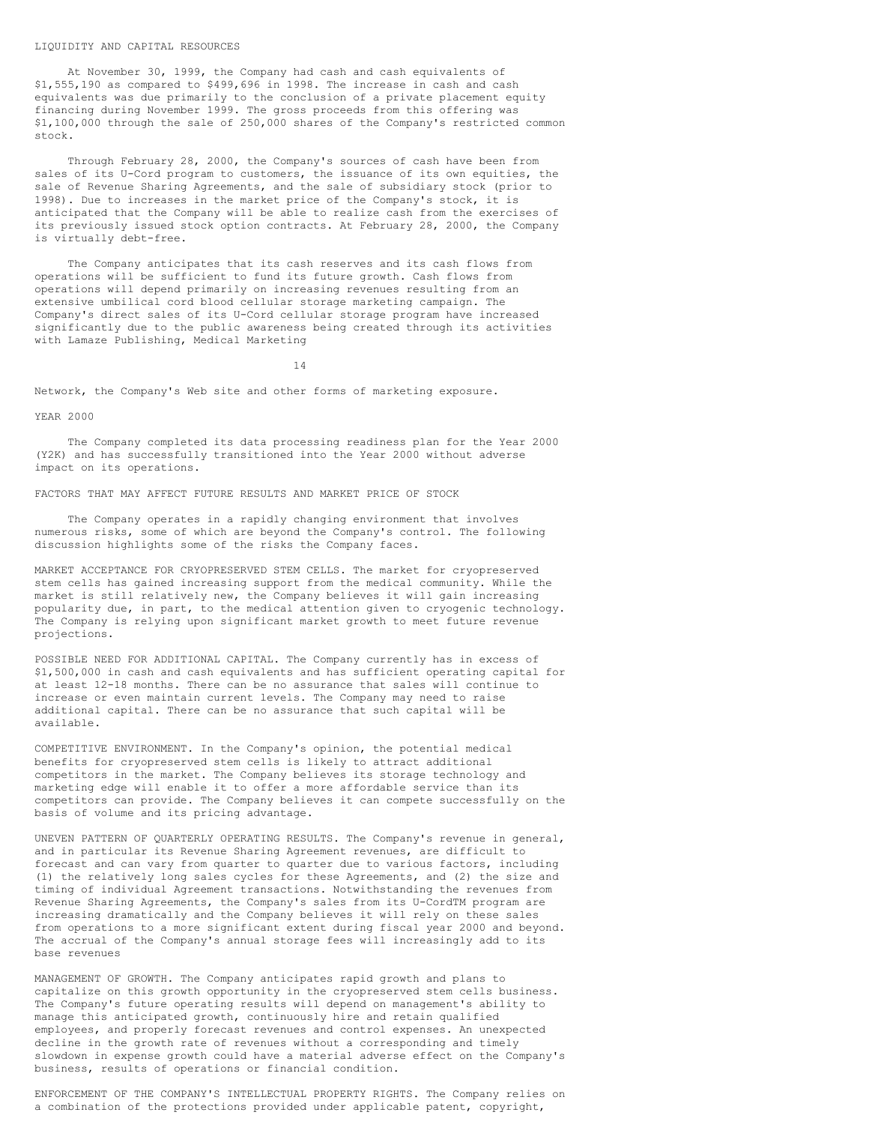#### LIQUIDITY AND CAPITAL RESOURCES

At November 30, 1999, the Company had cash and cash equivalents of \$1,555,190 as compared to \$499,696 in 1998. The increase in cash and cash equivalents was due primarily to the conclusion of a private placement equity financing during November 1999. The gross proceeds from this offering was \$1,100,000 through the sale of 250,000 shares of the Company's restricted common stock.

Through February 28, 2000, the Company's sources of cash have been from sales of its U-Cord program to customers, the issuance of its own equities, the sale of Revenue Sharing Agreements, and the sale of subsidiary stock (prior to 1998). Due to increases in the market price of the Company's stock, it is anticipated that the Company will be able to realize cash from the exercises of its previously issued stock option contracts. At February 28, 2000, the Company is virtually debt-free.

The Company anticipates that its cash reserves and its cash flows from operations will be sufficient to fund its future growth. Cash flows from operations will depend primarily on increasing revenues resulting from an extensive umbilical cord blood cellular storage marketing campaign. The Company's direct sales of its U-Cord cellular storage program have increased significantly due to the public awareness being created through its activities with Lamaze Publishing, Medical Marketing

14

Network, the Company's Web site and other forms of marketing exposure.

### YEAR 2000

The Company completed its data processing readiness plan for the Year 2000 (Y2K) and has successfully transitioned into the Year 2000 without adverse impact on its operations.

FACTORS THAT MAY AFFECT FUTURE RESULTS AND MARKET PRICE OF STOCK

The Company operates in a rapidly changing environment that involves numerous risks, some of which are beyond the Company's control. The following discussion highlights some of the risks the Company faces.

MARKET ACCEPTANCE FOR CRYOPRESERVED STEM CELLS. The market for cryopreserved stem cells has gained increasing support from the medical community. While the market is still relatively new, the Company believes it will gain increasing popularity due, in part, to the medical attention given to cryogenic technology. The Company is relying upon significant market growth to meet future revenue projections.

POSSIBLE NEED FOR ADDITIONAL CAPITAL. The Company currently has in excess of \$1,500,000 in cash and cash equivalents and has sufficient operating capital for at least 12-18 months. There can be no assurance that sales will continue to increase or even maintain current levels. The Company may need to raise additional capital. There can be no assurance that such capital will be available.

COMPETITIVE ENVIRONMENT. In the Company's opinion, the potential medical benefits for cryopreserved stem cells is likely to attract additional competitors in the market. The Company believes its storage technology and marketing edge will enable it to offer a more affordable service than its competitors can provide. The Company believes it can compete successfully on the basis of volume and its pricing advantage.

UNEVEN PATTERN OF QUARTERLY OPERATING RESULTS. The Company's revenue in general, and in particular its Revenue Sharing Agreement revenues, are difficult to forecast and can vary from quarter to quarter due to various factors, including (1) the relatively long sales cycles for these Agreements, and (2) the size and timing of individual Agreement transactions. Notwithstanding the revenues from Revenue Sharing Agreements, the Company's sales from its U-CordTM program are increasing dramatically and the Company believes it will rely on these sales from operations to a more significant extent during fiscal year 2000 and beyond. The accrual of the Company's annual storage fees will increasingly add to its base revenues

MANAGEMENT OF GROWTH. The Company anticipates rapid growth and plans to capitalize on this growth opportunity in the cryopreserved stem cells business. The Company's future operating results will depend on management's ability to manage this anticipated growth, continuously hire and retain qualified employees, and properly forecast revenues and control expenses. An unexpected decline in the growth rate of revenues without a corresponding and timely slowdown in expense growth could have a material adverse effect on the Company's business, results of operations or financial condition.

ENFORCEMENT OF THE COMPANY'S INTELLECTUAL PROPERTY RIGHTS. The Company relies on a combination of the protections provided under applicable patent, copyright,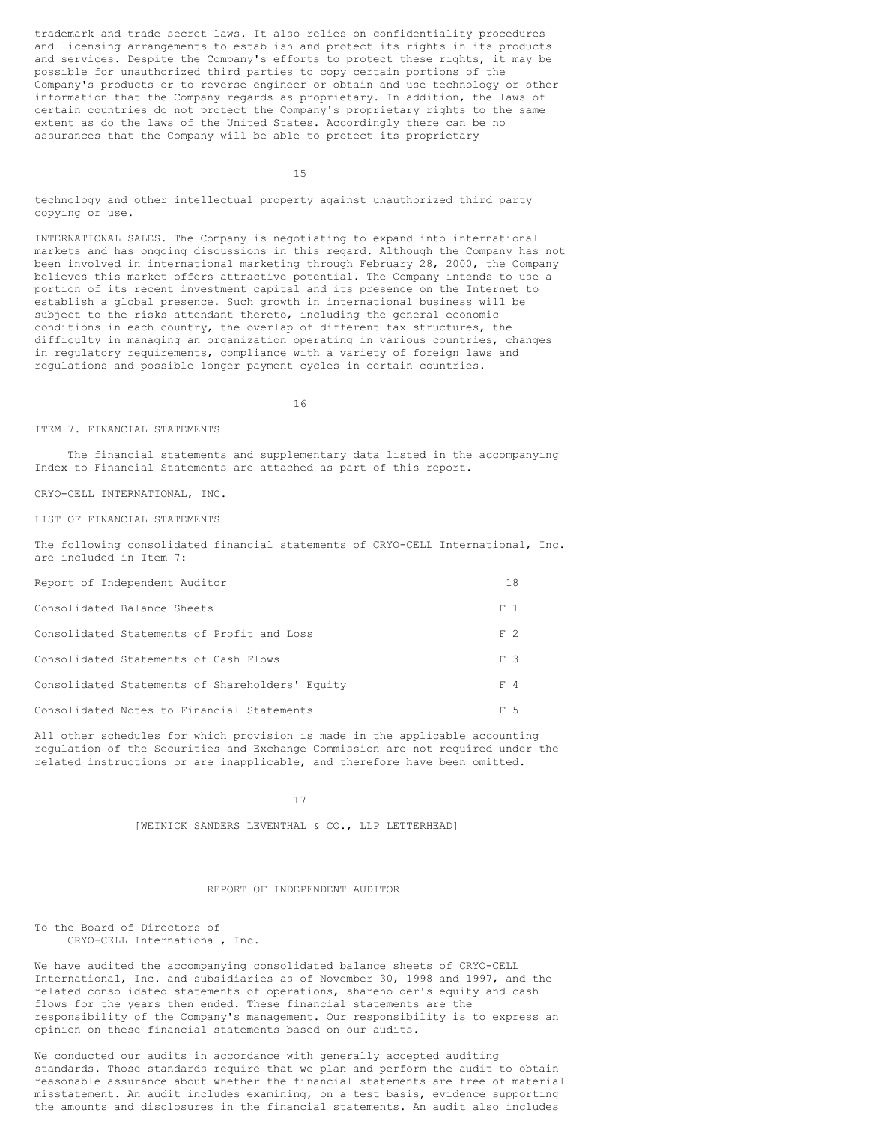trademark and trade secret laws. It also relies on confidentiality procedures and licensing arrangements to establish and protect its rights in its products and services. Despite the Company's efforts to protect these rights, it may be possible for unauthorized third parties to copy certain portions of the Company's products or to reverse engineer or obtain and use technology or other information that the Company regards as proprietary. In addition, the laws of certain countries do not protect the Company's proprietary rights to the same extent as do the laws of the United States. Accordingly there can be no assurances that the Company will be able to protect its proprietary

15

technology and other intellectual property against unauthorized third party copying or use.

INTERNATIONAL SALES. The Company is negotiating to expand into international markets and has ongoing discussions in this regard. Although the Company has not been involved in international marketing through February 28, 2000, the Company believes this market offers attractive potential. The Company intends to use a portion of its recent investment capital and its presence on the Internet to establish a global presence. Such growth in international business will be subject to the risks attendant thereto, including the general economic conditions in each country, the overlap of different tax structures, the difficulty in managing an organization operating in various countries, changes in regulatory requirements, compliance with a variety of foreign laws and regulations and possible longer payment cycles in certain countries.

16

#### ITEM 7. FINANCIAL STATEMENTS

The financial statements and supplementary data listed in the accompanying Index to Financial Statements are attached as part of this report.

CRYO-CELL INTERNATIONAL, INC.

LIST OF FINANCIAL STATEMENTS

The following consolidated financial statements of CRYO-CELL International, Inc. are included in Item 7:

| Report of Independent Auditor                   | 18  |  |
|-------------------------------------------------|-----|--|
| Consolidated Balance Sheets                     | F 1 |  |
| Consolidated Statements of Profit and Loss      | F 2 |  |
| Consolidated Statements of Cash Flows           | F 3 |  |
| Consolidated Statements of Shareholders' Equity | F 4 |  |
| Consolidated Notes to Financial Statements      | F 5 |  |

All other schedules for which provision is made in the applicable accounting regulation of the Securities and Exchange Commission are not required under the related instructions or are inapplicable, and therefore have been omitted.

# 17

[WEINICK SANDERS LEVENTHAL & CO., LLP LETTERHEAD]

# REPORT OF INDEPENDENT AUDITOR

To the Board of Directors of CRYO-CELL International, Inc.

We have audited the accompanying consolidated balance sheets of CRYO-CELL International, Inc. and subsidiaries as of November 30, 1998 and 1997, and the related consolidated statements of operations, shareholder's equity and cash flows for the years then ended. These financial statements are the responsibility of the Company's management. Our responsibility is to express an opinion on these financial statements based on our audits.

We conducted our audits in accordance with generally accepted auditing standards. Those standards require that we plan and perform the audit to obtain reasonable assurance about whether the financial statements are free of material misstatement. An audit includes examining, on a test basis, evidence supporting the amounts and disclosures in the financial statements. An audit also includes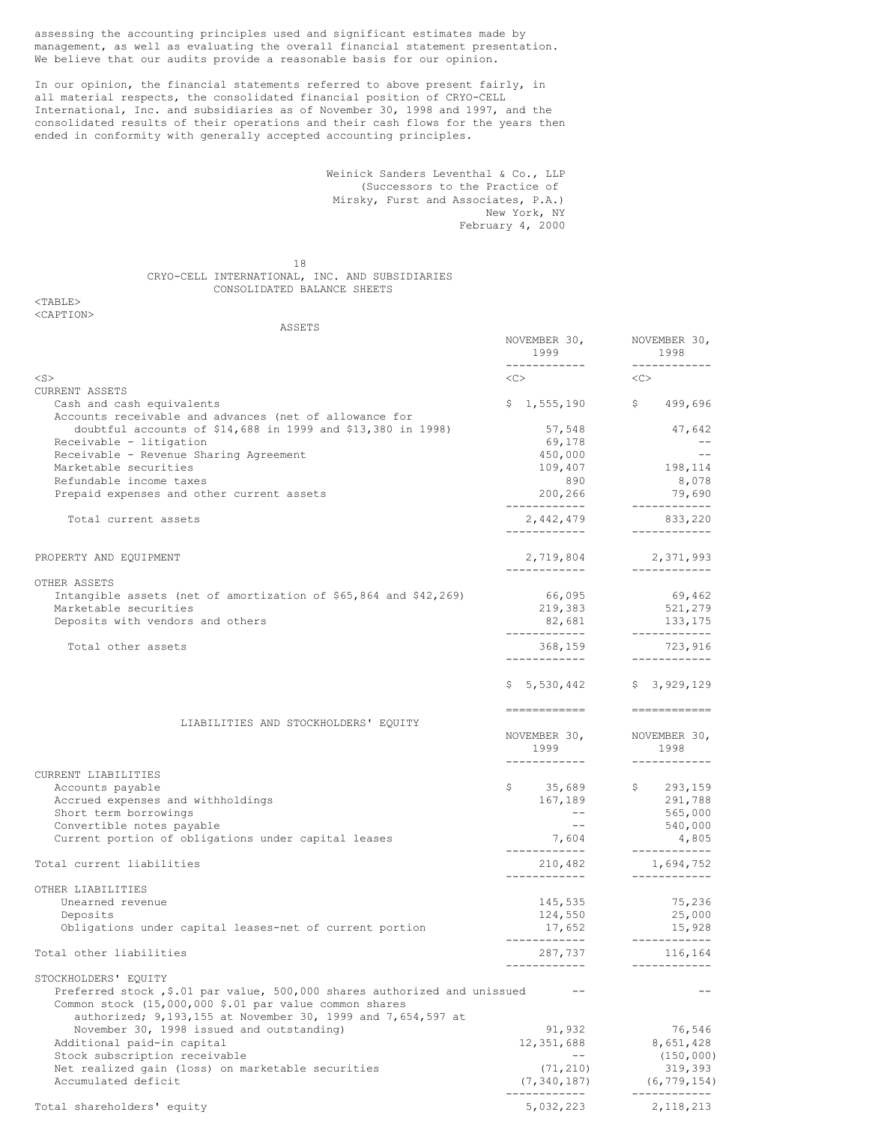assessing the accounting principles used and significant estimates made by management, as well as evaluating the overall financial statement presentation. We believe that our audits provide a reasonable basis for our opinion.

In our opinion, the financial statements referred to above present fairly, in all material respects, the consolidated financial position of CRYO-CELL International, Inc. and subsidiaries as of November 30, 1998 and 1997, and the consolidated results of their operations and their cash flows for the years then ended in conformity with generally accepted accounting principles.

> Weinick Sanders Leventhal & Co., LLP (Successors to the Practice of Mirsky, Furst and Associates, P.A.) New York, NY February 4, 2000

18 CRYO-CELL INTERNATIONAL, INC. AND SUBSIDIARIES CONSOLIDATED BALANCE SHEETS

| ASSETS                                                                                                                             |                                       |                                         |
|------------------------------------------------------------------------------------------------------------------------------------|---------------------------------------|-----------------------------------------|
|                                                                                                                                    | NOVEMBER 30,<br>1999<br>------------- | NOVEMBER 30,<br>1998<br>------------    |
| $<$ S $>$                                                                                                                          | $<<$ $>$                              | <<>                                     |
| <b>CURRENT ASSETS</b>                                                                                                              |                                       |                                         |
| Cash and cash equivalents                                                                                                          |                                       | $$1,555,190$ $$499,696$                 |
| Accounts receivable and advances (net of allowance for                                                                             |                                       |                                         |
| doubtful accounts of \$14,688 in 1999 and \$13,380 in 1998)                                                                        | 57,548                                | 47,642                                  |
| Receivable - litigation                                                                                                            | 69,178                                | $- -$                                   |
| Receivable - Revenue Sharing Agreement                                                                                             | 450,000                               | $- -$                                   |
| Marketable securities                                                                                                              | 109,407                               | 198,114                                 |
| Refundable income taxes                                                                                                            | 890                                   | 8,078                                   |
| Prepaid expenses and other current assets                                                                                          | 200,266<br>--------------             | 79,690<br>------------                  |
| Total current assets                                                                                                               | 2,442,479<br>-------------            | 833,220<br>------------                 |
|                                                                                                                                    |                                       |                                         |
| PROPERTY AND EQUIPMENT                                                                                                             | 2,719,804<br>____________             | 2,371,993<br>____________               |
| OTHER ASSETS                                                                                                                       |                                       |                                         |
| Intangible assets (net of amortization of $$65,864$ and $$42,269)$                                                                 | 66,095                                | 69,462                                  |
| Marketable securities                                                                                                              | 219,383                               | 521,279                                 |
| Deposits with vendors and others                                                                                                   | 82,681<br>--------------              | 133,175                                 |
| Total other assets                                                                                                                 | 368,159<br>-------------              | ------------<br>723,916<br>------------ |
|                                                                                                                                    |                                       | $$5,530,442$ $$3,929,129$               |
| LIABILITIES AND STOCKHOLDERS' EQUITY                                                                                               | -------------                         | ============                            |
|                                                                                                                                    | NOVEMBER 30,<br>1999<br>___________   | NOVEMBER 30,<br>1998<br>___________     |
| CURRENT LIABILITIES                                                                                                                |                                       |                                         |
| Accounts payable                                                                                                                   | \$35,689                              | \$293,159                               |
| Accrued expenses and withholdings                                                                                                  | 167,189                               | 291,788                                 |
| Short term borrowings                                                                                                              | $- -$                                 | 565,000                                 |
| Convertible notes payable                                                                                                          | $- -$                                 | 540,000                                 |
| Current portion of obligations under capital leases                                                                                | 7,604                                 | 4,805                                   |
|                                                                                                                                    | -------------                         | ------------                            |
| Total current liabilities                                                                                                          | 210,482                               | 1,694,752<br>------------               |
| OTHER LIABILITIES                                                                                                                  |                                       |                                         |
| Unearned revenue                                                                                                                   | 145,535                               | 75,236                                  |
| Deposits                                                                                                                           | 124,550                               | 25,000                                  |
| Obligations under capital leases-net of current portion                                                                            | 17,652<br>------------                | 15,928                                  |
| Total other liabilities                                                                                                            | 287.737                               | ------------<br>116,164                 |
| STOCKHOLDERS' EQUITY                                                                                                               | ------------                          | ------------                            |
| Preferred stock, \$.01 par value, 500,000 shares authorized and unissued<br>Common stock (15,000,000 \$.01 par value common shares |                                       |                                         |
| authorized; 9,193,155 at November 30, 1999 and 7,654,597 at<br>November 30, 1998 issued and outstanding)                           | 91,932                                | 76,546                                  |
| Additional paid-in capital                                                                                                         | 12,351,688                            | 8,651,428                               |
| Stock subscription receivable                                                                                                      | $--$                                  | (150, 000)                              |
| Net realized gain (loss) on marketable securities                                                                                  | (71, 210)                             | 319,393                                 |
| Accumulated deficit                                                                                                                | (7, 340, 187)<br>------------         | (6, 779, 154)<br>____________           |
| Total shareholders' equity                                                                                                         | 5,032,223                             | 2, 118, 213                             |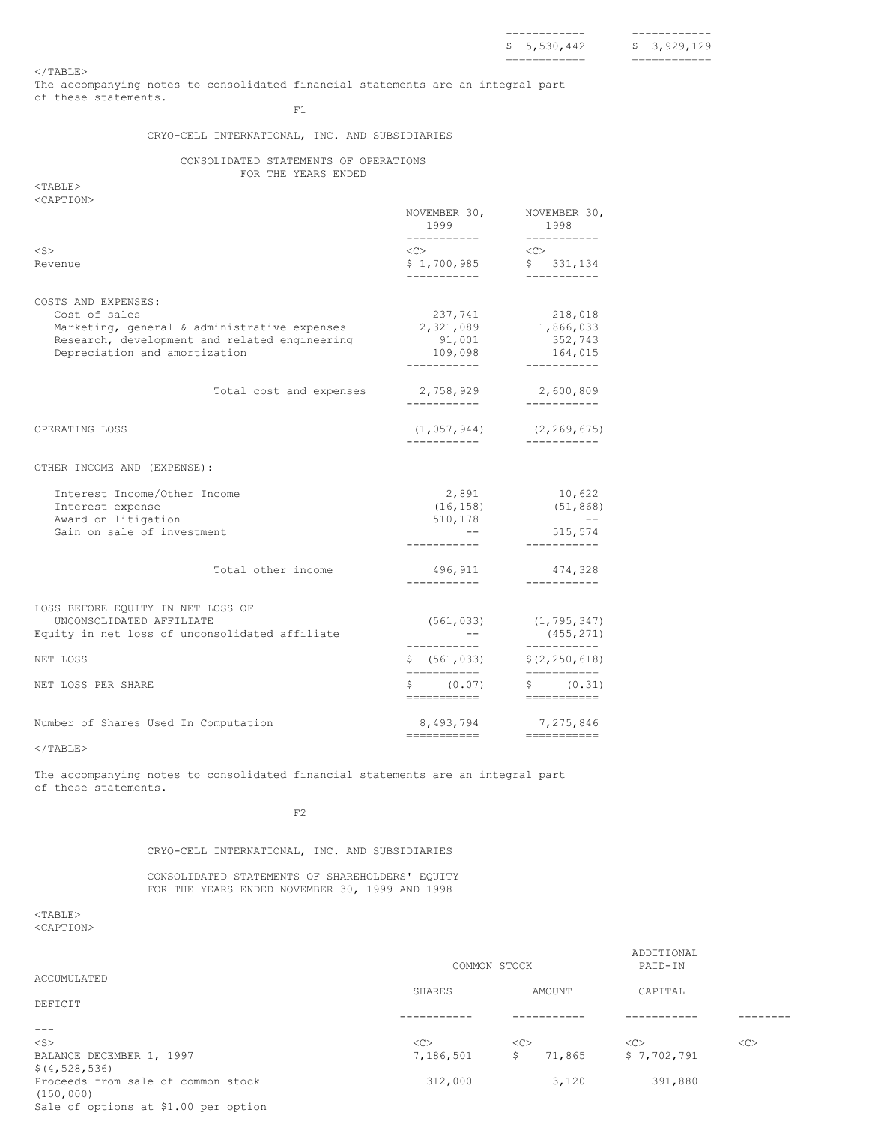============ ============

 $<$ /TABLE>

The accompanying notes to consolidated financial statements are an integral part of these statements.

F1

# CRYO-CELL INTERNATIONAL, INC. AND SUBSIDIARIES

# CONSOLIDATED STATEMENTS OF OPERATIONS FOR THE YEARS ENDED

<TABLE> <CAPTION>

|                                                                                |                         | NOVEMBER 30,<br>1999<br>___________                                                 |          | NOVEMBER 30,<br>1998<br>-----------                                                                                                                                                                                                                                                                                                                                                                                                                                                                                 |
|--------------------------------------------------------------------------------|-------------------------|-------------------------------------------------------------------------------------|----------|---------------------------------------------------------------------------------------------------------------------------------------------------------------------------------------------------------------------------------------------------------------------------------------------------------------------------------------------------------------------------------------------------------------------------------------------------------------------------------------------------------------------|
| $<$ S $>$                                                                      |                         | $\langle C \rangle$                                                                 | $<<$ $>$ |                                                                                                                                                                                                                                                                                                                                                                                                                                                                                                                     |
| Revenue                                                                        |                         | \$1,700,985                                                                         |          | \$331,134                                                                                                                                                                                                                                                                                                                                                                                                                                                                                                           |
|                                                                                |                         | ------------                                                                        |          |                                                                                                                                                                                                                                                                                                                                                                                                                                                                                                                     |
| COSTS AND EXPENSES:                                                            |                         |                                                                                     |          |                                                                                                                                                                                                                                                                                                                                                                                                                                                                                                                     |
| Cost of sales                                                                  |                         | 237,741                                                                             |          | 218,018                                                                                                                                                                                                                                                                                                                                                                                                                                                                                                             |
| Marketing, general & administrative expenses                                   |                         | 2,321,089                                                                           |          | 1,866,033                                                                                                                                                                                                                                                                                                                                                                                                                                                                                                           |
| Research, development and related engineering<br>Depreciation and amortization |                         | 91,001<br>109,098                                                                   |          | 352,743<br>164,015                                                                                                                                                                                                                                                                                                                                                                                                                                                                                                  |
|                                                                                |                         | ------------                                                                        |          | ----------                                                                                                                                                                                                                                                                                                                                                                                                                                                                                                          |
|                                                                                | Total cost and expenses | 2,758,929                                                                           |          | 2,600,809                                                                                                                                                                                                                                                                                                                                                                                                                                                                                                           |
|                                                                                |                         | -------------                                                                       |          | -----------                                                                                                                                                                                                                                                                                                                                                                                                                                                                                                         |
| OPERATING LOSS                                                                 |                         | $(1, 057, 944)$ $(2, 269, 675)$                                                     |          |                                                                                                                                                                                                                                                                                                                                                                                                                                                                                                                     |
|                                                                                |                         | ------------                                                                        |          | ------------                                                                                                                                                                                                                                                                                                                                                                                                                                                                                                        |
| OTHER INCOME AND (EXPENSE):                                                    |                         |                                                                                     |          |                                                                                                                                                                                                                                                                                                                                                                                                                                                                                                                     |
| Interest Income/Other Income                                                   |                         | 2,891                                                                               |          | 10,622                                                                                                                                                                                                                                                                                                                                                                                                                                                                                                              |
| Interest expense                                                               |                         | (16, 158)                                                                           |          | (51, 868)                                                                                                                                                                                                                                                                                                                                                                                                                                                                                                           |
| Award on litigation                                                            |                         | 510,178                                                                             |          | $\sim 100$ km s $^{-1}$                                                                                                                                                                                                                                                                                                                                                                                                                                                                                             |
| Gain on sale of investment                                                     |                         |                                                                                     |          | 515,574<br>-----------                                                                                                                                                                                                                                                                                                                                                                                                                                                                                              |
|                                                                                |                         |                                                                                     |          |                                                                                                                                                                                                                                                                                                                                                                                                                                                                                                                     |
|                                                                                | Total other income      | 496,911<br>-----------                                                              |          | 474,328<br>-----------                                                                                                                                                                                                                                                                                                                                                                                                                                                                                              |
|                                                                                |                         |                                                                                     |          |                                                                                                                                                                                                                                                                                                                                                                                                                                                                                                                     |
| LOSS BEFORE EQUITY IN NET LOSS OF                                              |                         |                                                                                     |          |                                                                                                                                                                                                                                                                                                                                                                                                                                                                                                                     |
| UNCONSOLIDATED AFFILIATE<br>Equity in net loss of unconsolidated affiliate     |                         | $(561, 033)$ $(1, 795, 347)$<br>$\mathcal{L}_{\rm{max}}$ , $\mathcal{L}_{\rm{max}}$ |          | (455, 271)                                                                                                                                                                                                                                                                                                                                                                                                                                                                                                          |
|                                                                                |                         | ___________                                                                         |          | -----------                                                                                                                                                                                                                                                                                                                                                                                                                                                                                                         |
| NET LOSS                                                                       |                         | \$ (561, 033)<br>-----------                                                        |          | \$(2, 250, 618)<br>===========                                                                                                                                                                                                                                                                                                                                                                                                                                                                                      |
| NET LOSS PER SHARE                                                             |                         | \$ (0.07)                                                                           |          | \$ (0.31)                                                                                                                                                                                                                                                                                                                                                                                                                                                                                                           |
|                                                                                |                         | ===========                                                                         |          | $\begin{tabular}{ll} \multicolumn{2}{l}{{\color{blue}\textbf{1}}}\\ \multicolumn{2}{l}{\color{blue}\textbf{2}}\\ \multicolumn{2}{l}{\color{blue}\textbf{2}}\\ \multicolumn{2}{l}{\color{blue}\textbf{3}}\\ \multicolumn{2}{l}{\color{blue}\textbf{4}}\\ \multicolumn{2}{l}{\color{blue}\textbf{4}}\\ \multicolumn{2}{l}{\color{blue}\textbf{4}}\\ \multicolumn{2}{l}{\color{blue}\textbf{5}}\\ \multicolumn{2}{l}{\color{blue}\textbf{5}}\\ \multicolumn{2}{l}{\color{blue}\textbf{6}}\\ \multicolumn{2}{l}{\color$ |
| Number of Shares Used In Computation                                           |                         | 8,493,794                                                                           |          | 7,275,846                                                                                                                                                                                                                                                                                                                                                                                                                                                                                                           |
|                                                                                |                         | ==========================                                                          |          |                                                                                                                                                                                                                                                                                                                                                                                                                                                                                                                     |

 $<$ /TABLE>

The accompanying notes to consolidated financial statements are an integral part of these statements.

F2

# CRYO-CELL INTERNATIONAL, INC. AND SUBSIDIARIES

CONSOLIDATED STATEMENTS OF SHAREHOLDERS' EQUITY FOR THE YEARS ENDED NOVEMBER 30, 1999 AND 1998

|                                                  | COMMON STOCK |              | ADDITIONAL<br>PAID-IN |    |
|--------------------------------------------------|--------------|--------------|-----------------------|----|
| ACCUMULATED                                      |              |              |                       |    |
| DEFICIT                                          | SHARES       | AMOUNT       | CAPITAL               |    |
|                                                  |              |              |                       |    |
| $\frac{1}{2}$                                    |              |              |                       |    |
| $<$ S $>$                                        | <<           | <<           | <<                    | << |
| BALANCE DECEMBER 1, 1997                         | 7,186,501    | \$<br>71,865 | \$7,702,791           |    |
| \$(4, 528, 536)                                  |              |              |                       |    |
| Proceeds from sale of common stock<br>(150, 000) | 312,000      | 3,120        | 391,880               |    |
| Sale of options at \$1.00 per option             |              |              |                       |    |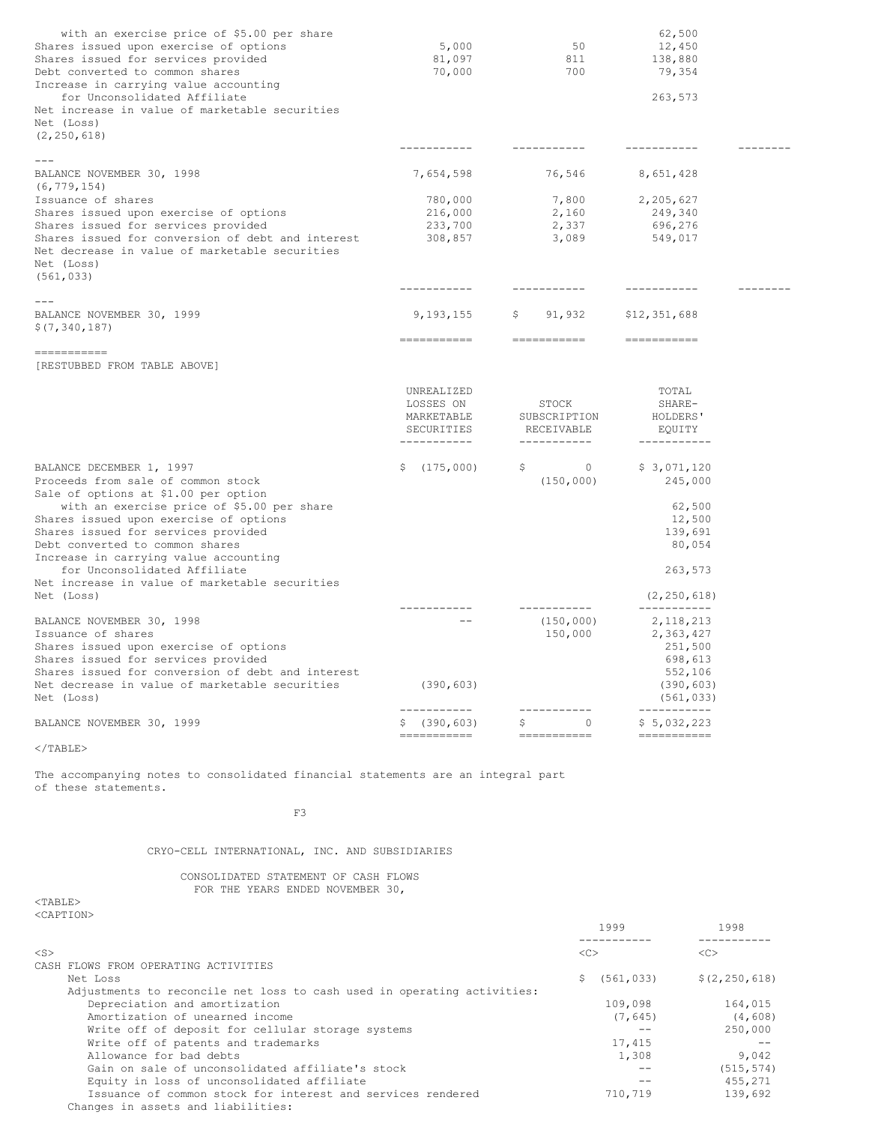| with an exercise price of \$5.00 per share<br>Shares issued upon exercise of options<br>Shares issued for services provided<br>Debt converted to common shares<br>Increase in carrying value accounting<br>for Unconsolidated Affiliate<br>Net increase in value of marketable securities | 5,000<br>81,097<br>70,000                   | 50<br>811<br>700                    | 62,500<br>12,450<br>138,880<br>79,354<br>263,573 |  |
|-------------------------------------------------------------------------------------------------------------------------------------------------------------------------------------------------------------------------------------------------------------------------------------------|---------------------------------------------|-------------------------------------|--------------------------------------------------|--|
| Net (Loss)<br>(2, 250, 618)                                                                                                                                                                                                                                                               |                                             |                                     |                                                  |  |
|                                                                                                                                                                                                                                                                                           |                                             |                                     |                                                  |  |
| BALANCE NOVEMBER 30, 1998<br>(6, 779, 154)                                                                                                                                                                                                                                                | 7,654,598                                   | 76,546                              | 8,651,428                                        |  |
| Issuance of shares                                                                                                                                                                                                                                                                        | 780,000                                     | 7,800                               | 2,205,627                                        |  |
| Shares issued upon exercise of options                                                                                                                                                                                                                                                    | 216,000                                     | 2,160                               | 249,340                                          |  |
| Shares issued for services provided                                                                                                                                                                                                                                                       | 233,700                                     | 2,337                               | 696,276                                          |  |
| Shares issued for conversion of debt and interest<br>Net decrease in value of marketable securities<br>Net (Loss)<br>(561, 033)                                                                                                                                                           | 308,857                                     | 3,089                               | 549,017                                          |  |
|                                                                                                                                                                                                                                                                                           | -----------                                 | -----------                         | -----------                                      |  |
| BALANCE NOVEMBER 30, 1999<br>\$(7, 340, 187)                                                                                                                                                                                                                                              | 9,193,155                                   | 91,932                              | \$12,351,688                                     |  |
| -----------                                                                                                                                                                                                                                                                               | ===========                                 | ===========                         | -----------                                      |  |
| [RESTUBBED FROM TABLE ABOVE]                                                                                                                                                                                                                                                              |                                             |                                     |                                                  |  |
|                                                                                                                                                                                                                                                                                           | UNREALIZED                                  |                                     | TOTAL                                            |  |
|                                                                                                                                                                                                                                                                                           | LOSSES ON<br>MARKETABLE<br>SECURITIES       | STOCK<br>SUBSCRIPTION<br>RECEIVABLE | SHARE-<br>HOLDERS'<br>EQUITY                     |  |
|                                                                                                                                                                                                                                                                                           | -----------                                 | -----------                         | -----------                                      |  |
| BALANCE DECEMBER 1, 1997<br>Proceeds from sale of common stock<br>Sale of options at \$1.00 per option                                                                                                                                                                                    | \$(175,000)                                 | \$.<br>$\circ$<br>(150, 000)        | \$3,071,120<br>245,000                           |  |
| with an exercise price of \$5.00 per share                                                                                                                                                                                                                                                |                                             |                                     | 62,500                                           |  |
| Shares issued upon exercise of options<br>Shares issued for services provided                                                                                                                                                                                                             |                                             |                                     | 12,500<br>139,691                                |  |
| Debt converted to common shares                                                                                                                                                                                                                                                           |                                             |                                     | 80,054                                           |  |
| Increase in carrying value accounting<br>for Unconsolidated Affiliate<br>Net increase in value of marketable securities                                                                                                                                                                   |                                             |                                     | 263,573                                          |  |
| Net (Loss)                                                                                                                                                                                                                                                                                |                                             | -----------                         | (2, 250, 618)<br>-----------                     |  |
| BALANCE NOVEMBER 30, 1998                                                                                                                                                                                                                                                                 |                                             | (150,000)                           | 2, 118, 213                                      |  |
| Issuance of shares                                                                                                                                                                                                                                                                        |                                             | 150,000                             | 2,363,427                                        |  |
| Shares issued upon exercise of options                                                                                                                                                                                                                                                    |                                             |                                     | 251,500                                          |  |
| Shares issued for services provided                                                                                                                                                                                                                                                       |                                             |                                     | 698,613                                          |  |
| Shares issued for conversion of debt and interest                                                                                                                                                                                                                                         |                                             |                                     | 552,106                                          |  |
| Net decrease in value of marketable securities<br>Net (Loss)                                                                                                                                                                                                                              | (390, 603)                                  |                                     | (390, 603)<br>(561, 033)                         |  |
| BALANCE NOVEMBER 30, 1999                                                                                                                                                                                                                                                                 | -----------<br>\$ (390, 603)<br>=========== | \$<br>$\Omega$                      | -----------<br>\$5,032,223                       |  |
|                                                                                                                                                                                                                                                                                           |                                             |                                     |                                                  |  |

 $<$ /TABLE>

The accompanying notes to consolidated financial statements are an integral part of these statements.

F3

# CRYO-CELL INTERNATIONAL, INC. AND SUBSIDIARIES

# CONSOLIDATED STATEMENT OF CASH FLOWS FOR THE YEARS ENDED NOVEMBER 30,

|                                                                         | 1999             | 1998            |
|-------------------------------------------------------------------------|------------------|-----------------|
| $<$ S $>$                                                               | < <sub></sub>    | < <sub></sub>   |
| CASH FLOWS FROM OPERATING ACTIVITIES                                    |                  |                 |
| Net Loss                                                                | (561, 033)<br>S. | \$(2, 250, 618) |
| Adjustments to reconcile net loss to cash used in operating activities: |                  |                 |
| Depreciation and amortization                                           | 109,098          | 164,015         |
| Amortization of unearned income                                         | (7, 645)         | (4, 608)        |
| Write off of deposit for cellular storage systems                       |                  | 250,000         |
| Write off of patents and trademarks                                     | 17,415           |                 |
| Allowance for bad debts                                                 | 1,308            | 9,042           |
| Gain on sale of unconsolidated affiliate's stock                        |                  | (515, 574)      |
| Equity in loss of unconsolidated affiliate                              |                  | 455,271         |
| Issuance of common stock for interest and services rendered             | 710,719          | 139,692         |
| Changes in assets and liabilities:                                      |                  |                 |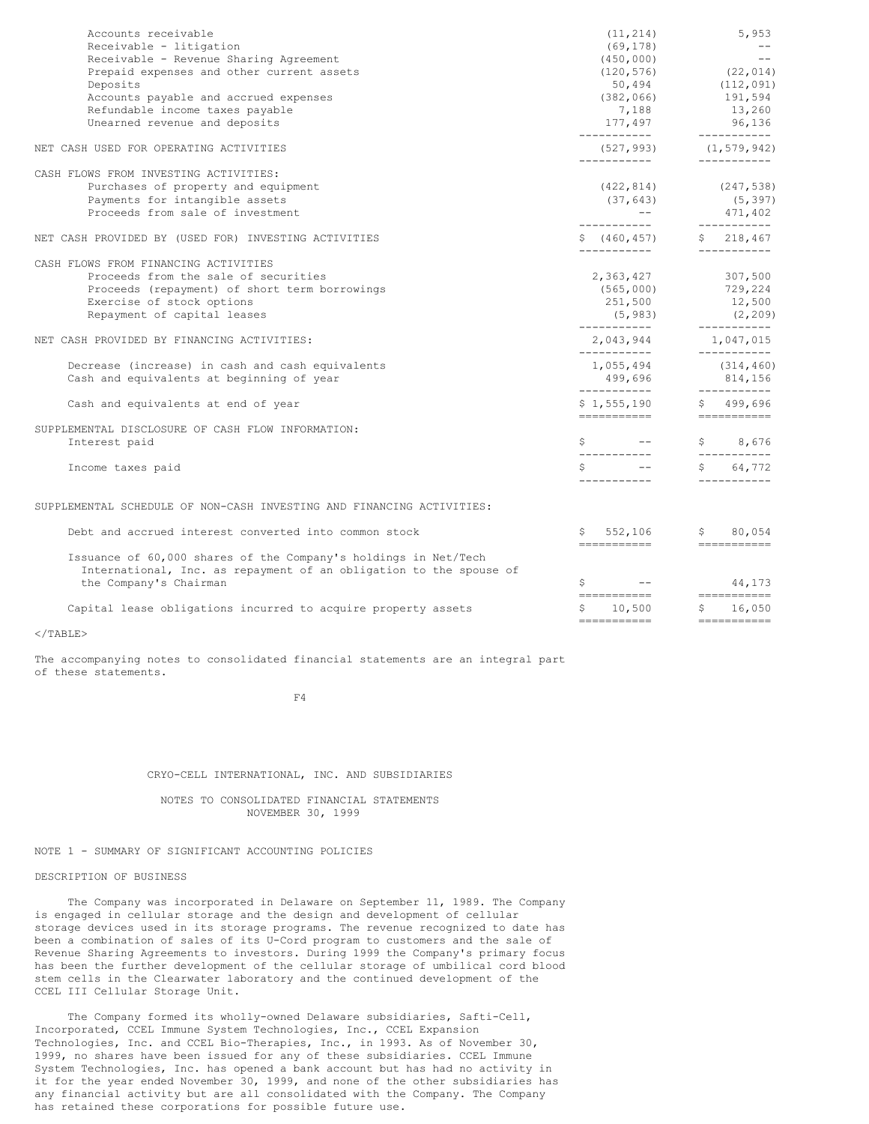| Accounts receivable<br>Receivable - litigation<br>Receivable - Revenue Sharing Agreement<br>Prepaid expenses and other current assets<br>Deposits                                         | (11, 214)<br>(69, 178)<br>(450, 000)                                          | 5,953<br>$\sim$ $  -$<br>$- -$<br>$(120, 576)$ $(22, 014)$<br>$50, 494$ $(112, 091)$                                                                                                       |
|-------------------------------------------------------------------------------------------------------------------------------------------------------------------------------------------|-------------------------------------------------------------------------------|--------------------------------------------------------------------------------------------------------------------------------------------------------------------------------------------|
| Accounts payable and accrued expenses<br>Refundable income taxes payable<br>Unearned revenue and deposits                                                                                 |                                                                               | $(382, 066)$ 191,594<br>$7,188$<br>177,497<br>$3,200$<br>$15,200$<br>$96,136$<br>$-50,042$                                                                                                 |
| NET CASH USED FOR OPERATING ACTIVITIES                                                                                                                                                    |                                                                               |                                                                                                                                                                                            |
| CASH FLOWS FROM INVESTING ACTIVITIES:<br>Purchases of property and equipment<br>Payments for intangible assets<br>Proceeds from sale of investment                                        |                                                                               | $(422, 814)$ $(247, 538)$<br>$(422, 814)$<br>$(37, 643)$<br>$--$<br>$(5, 397)$<br>$-$<br>$(460, 457)$<br>$(-218, 467)$<br>$(-218, 467)$<br>$(-218, 467)$<br>$(-218, 467)$<br>$(-218, 467)$ |
| NET CASH PROVIDED BY (USED FOR) INVESTING ACTIVITIES                                                                                                                                      |                                                                               |                                                                                                                                                                                            |
| CASH FLOWS FROM FINANCING ACTIVITIES<br>Proceeds from the sale of securities<br>Proceeds (repayment) of short term borrowings<br>Exercise of stock options<br>Repayment of capital leases |                                                                               | 2,363,427 307,500<br>(565,000) 729,224<br>251,500 12,500                                                                                                                                   |
| NET CASH PROVIDED BY FINANCING ACTIVITIES:                                                                                                                                                | -----------<br>___________                                                    |                                                                                                                                                                                            |
| Decrease (increase) in cash and cash equivalents<br>Cash and equivalents at beginning of year                                                                                             | -----------                                                                   | $1,055,494$ (314,460)<br>$499,696$ $814,156$                                                                                                                                               |
| Cash and equivalents at end of year                                                                                                                                                       | $$1,555,190$ $$499,696$<br>===========                                        | _____________                                                                                                                                                                              |
| SUPPLEMENTAL DISCLOSURE OF CASH FLOW INFORMATION:<br>Interest paid                                                                                                                        | $S \t -$                                                                      | \$ 8,676                                                                                                                                                                                   |
| Income taxes paid                                                                                                                                                                         | $\begin{array}{cccc} \xi & - & \xi & 64,772 \\ - & - & - & - & - \end{array}$ |                                                                                                                                                                                            |
| SUPPLEMENTAL SCHEDULE OF NON-CASH INVESTING AND FINANCING ACTIVITIES:                                                                                                                     |                                                                               |                                                                                                                                                                                            |
| Debt and accrued interest converted into common stock                                                                                                                                     | $$552,106$ $$80,054$                                                          |                                                                                                                                                                                            |
| Issuance of 60,000 shares of the Company's holdings in Net/Tech<br>International, Inc. as repayment of an obligation to the spouse of<br>the Company's Chairman                           |                                                                               | $\frac{1}{5}$ -- 44,173                                                                                                                                                                    |
| Capital lease obligations incurred to acquire property assets                                                                                                                             | ===========================<br>$$10,500$ $$16,050$<br>===========             | ------------                                                                                                                                                                               |

 $<$ /TABLE>

The accompanying notes to consolidated financial statements are an integral part of these statements.

F4

#### CRYO-CELL INTERNATIONAL, INC. AND SUBSIDIARIES

NOTES TO CONSOLIDATED FINANCIAL STATEMENTS NOVEMBER 30, 1999

# NOTE 1 - SUMMARY OF SIGNIFICANT ACCOUNTING POLICIES

# DESCRIPTION OF BUSINESS

The Company was incorporated in Delaware on September 11, 1989. The Company is engaged in cellular storage and the design and development of cellular storage devices used in its storage programs. The revenue recognized to date has been a combination of sales of its U-Cord program to customers and the sale of Revenue Sharing Agreements to investors. During 1999 the Company's primary focus has been the further development of the cellular storage of umbilical cord blood stem cells in the Clearwater laboratory and the continued development of the CCEL III Cellular Storage Unit.

The Company formed its wholly-owned Delaware subsidiaries, Safti-Cell, Incorporated, CCEL Immune System Technologies, Inc., CCEL Expansion Technologies, Inc. and CCEL Bio-Therapies, Inc., in 1993. As of November 30, 1999, no shares have been issued for any of these subsidiaries. CCEL Immune System Technologies, Inc. has opened a bank account but has had no activity in it for the year ended November 30, 1999, and none of the other subsidiaries has any financial activity but are all consolidated with the Company. The Company has retained these corporations for possible future use.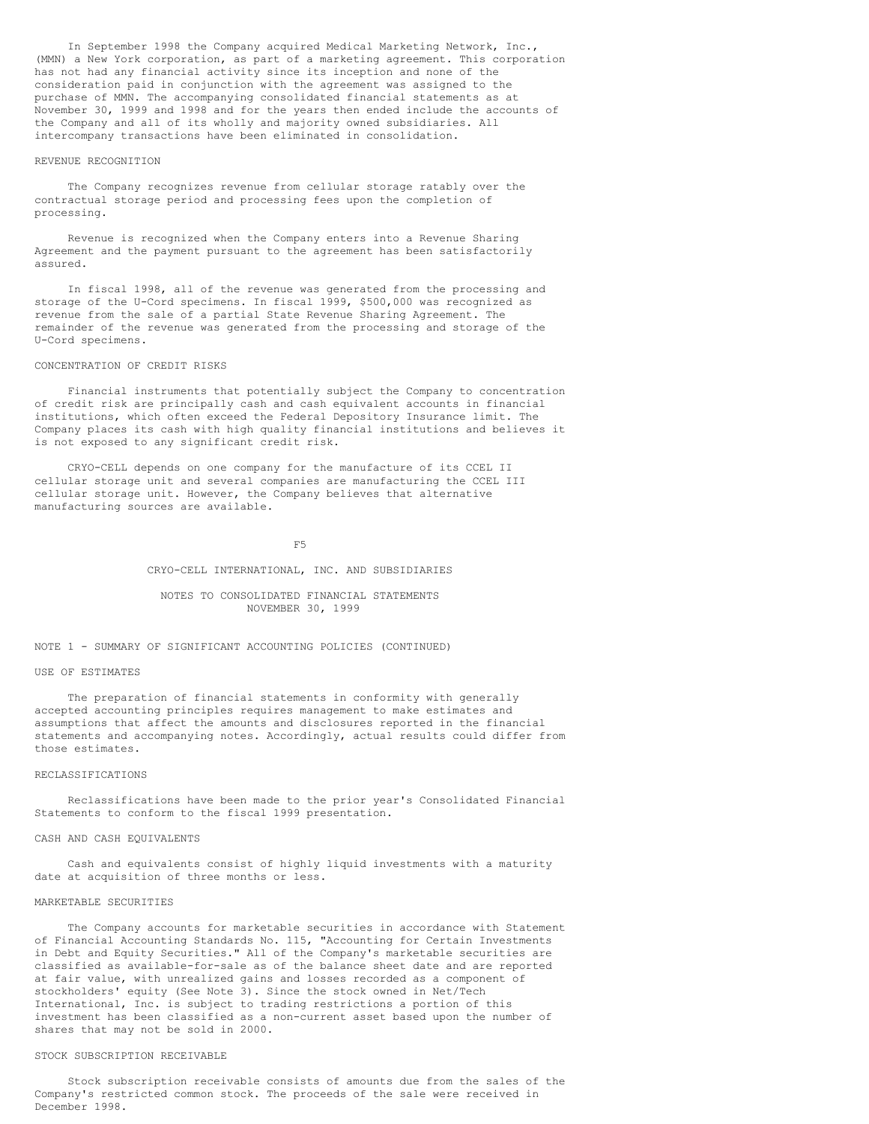In September 1998 the Company acquired Medical Marketing Network, Inc., (MMN) a New York corporation, as part of a marketing agreement. This corporation has not had any financial activity since its inception and none of the consideration paid in conjunction with the agreement was assigned to the purchase of MMN. The accompanying consolidated financial statements as at November 30, 1999 and 1998 and for the years then ended include the accounts of the Company and all of its wholly and majority owned subsidiaries. All intercompany transactions have been eliminated in consolidation.

### REVENUE RECOGNITION

The Company recognizes revenue from cellular storage ratably over the contractual storage period and processing fees upon the completion of processing.

Revenue is recognized when the Company enters into a Revenue Sharing Agreement and the payment pursuant to the agreement has been satisfactorily assured.

In fiscal 1998, all of the revenue was generated from the processing and storage of the U-Cord specimens. In fiscal 1999, \$500,000 was recognized as revenue from the sale of a partial State Revenue Sharing Agreement. The remainder of the revenue was generated from the processing and storage of the U-Cord specimens.

### CONCENTRATION OF CREDIT RISKS

Financial instruments that potentially subject the Company to concentration of credit risk are principally cash and cash equivalent accounts in financial institutions, which often exceed the Federal Depository Insurance limit. The Company places its cash with high quality financial institutions and believes it is not exposed to any significant credit risk.

CRYO-CELL depends on one company for the manufacture of its CCEL II cellular storage unit and several companies are manufacturing the CCEL III cellular storage unit. However, the Company believes that alternative manufacturing sources are available.

F5

#### CRYO-CELL INTERNATIONAL, INC. AND SUBSIDIARIES

## NOTES TO CONSOLIDATED FINANCIAL STATEMENTS NOVEMBER 30, 1999

# NOTE 1 - SUMMARY OF SIGNIFICANT ACCOUNTING POLICIES (CONTINUED)

### USE OF ESTIMATES

The preparation of financial statements in conformity with generally accepted accounting principles requires management to make estimates and assumptions that affect the amounts and disclosures reported in the financial statements and accompanying notes. Accordingly, actual results could differ from those estimates.

#### RECLASSIFICATIONS

Reclassifications have been made to the prior year's Consolidated Financial Statements to conform to the fiscal 1999 presentation.

#### CASH AND CASH EQUIVALENTS

Cash and equivalents consist of highly liquid investments with a maturity date at acquisition of three months or less.

#### MARKETABLE SECURITIES

The Company accounts for marketable securities in accordance with Statement of Financial Accounting Standards No. 115, "Accounting for Certain Investments in Debt and Equity Securities." All of the Company's marketable securities are classified as available-for-sale as of the balance sheet date and are reported at fair value, with unrealized gains and losses recorded as a component of stockholders' equity (See Note 3). Since the stock owned in Net/Tech International, Inc. is subject to trading restrictions a portion of this investment has been classified as a non-current asset based upon the number of shares that may not be sold in 2000.

### STOCK SUBSCRIPTION RECEIVABLE

Stock subscription receivable consists of amounts due from the sales of the Company's restricted common stock. The proceeds of the sale were received in December 1998.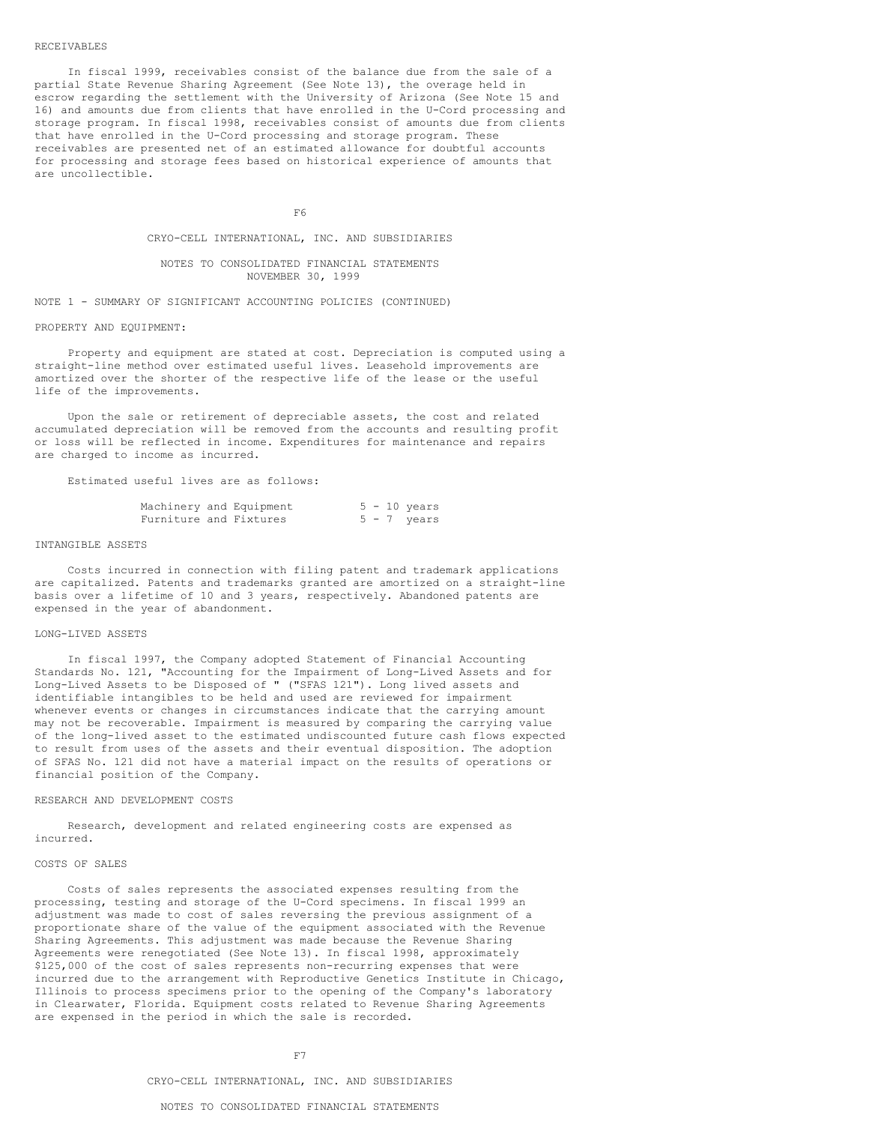#### RECEIVABLES

In fiscal 1999, receivables consist of the balance due from the sale of a partial State Revenue Sharing Agreement (See Note 13), the overage held in escrow regarding the settlement with the University of Arizona (See Note 15 and 16) and amounts due from clients that have enrolled in the U-Cord processing and storage program. In fiscal 1998, receivables consist of amounts due from clients that have enrolled in the U-Cord processing and storage program. These receivables are presented net of an estimated allowance for doubtful accounts for processing and storage fees based on historical experience of amounts that are uncollectible.

F6

CRYO-CELL INTERNATIONAL, INC. AND SUBSIDIARIES

NOTES TO CONSOLIDATED FINANCIAL STATEMENTS NOVEMBER 30, 1999

NOTE 1 - SUMMARY OF SIGNIFICANT ACCOUNTING POLICIES (CONTINUED)

PROPERTY AND EQUIPMENT:

Property and equipment are stated at cost. Depreciation is computed using a straight-line method over estimated useful lives. Leasehold improvements are amortized over the shorter of the respective life of the lease or the useful life of the improvements.

Upon the sale or retirement of depreciable assets, the cost and related accumulated depreciation will be removed from the accounts and resulting profit or loss will be reflected in income. Expenditures for maintenance and repairs are charged to income as incurred.

Estimated useful lives are as follows:

|                        | Machinery and Equipment |  | $5 - 10$ years |
|------------------------|-------------------------|--|----------------|
| Furniture and Fixtures |                         |  | $5 - 7$ years  |

# INTANGIBLE ASSETS

Costs incurred in connection with filing patent and trademark applications are capitalized. Patents and trademarks granted are amortized on a straight-line basis over a lifetime of 10 and 3 years, respectively. Abandoned patents are expensed in the year of abandonment.

# LONG-LIVED ASSETS

In fiscal 1997, the Company adopted Statement of Financial Accounting Standards No. 121, "Accounting for the Impairment of Long-Lived Assets and for Long-Lived Assets to be Disposed of " ("SFAS 121"). Long lived assets and identifiable intangibles to be held and used are reviewed for impairment whenever events or changes in circumstances indicate that the carrying amount may not be recoverable. Impairment is measured by comparing the carrying value of the long-lived asset to the estimated undiscounted future cash flows expected to result from uses of the assets and their eventual disposition. The adoption of SFAS No. 121 did not have a material impact on the results of operations or financial position of the Company.

#### RESEARCH AND DEVELOPMENT COSTS

Research, development and related engineering costs are expensed as incurred.

# COSTS OF SALES

Costs of sales represents the associated expenses resulting from the processing, testing and storage of the U-Cord specimens. In fiscal 1999 an adjustment was made to cost of sales reversing the previous assignment of a proportionate share of the value of the equipment associated with the Revenue Sharing Agreements. This adjustment was made because the Revenue Sharing Agreements were renegotiated (See Note 13). In fiscal 1998, approximately \$125,000 of the cost of sales represents non-recurring expenses that were incurred due to the arrangement with Reproductive Genetics Institute in Chicago, Illinois to process specimens prior to the opening of the Company's laboratory in Clearwater, Florida. Equipment costs related to Revenue Sharing Agreements are expensed in the period in which the sale is recorded.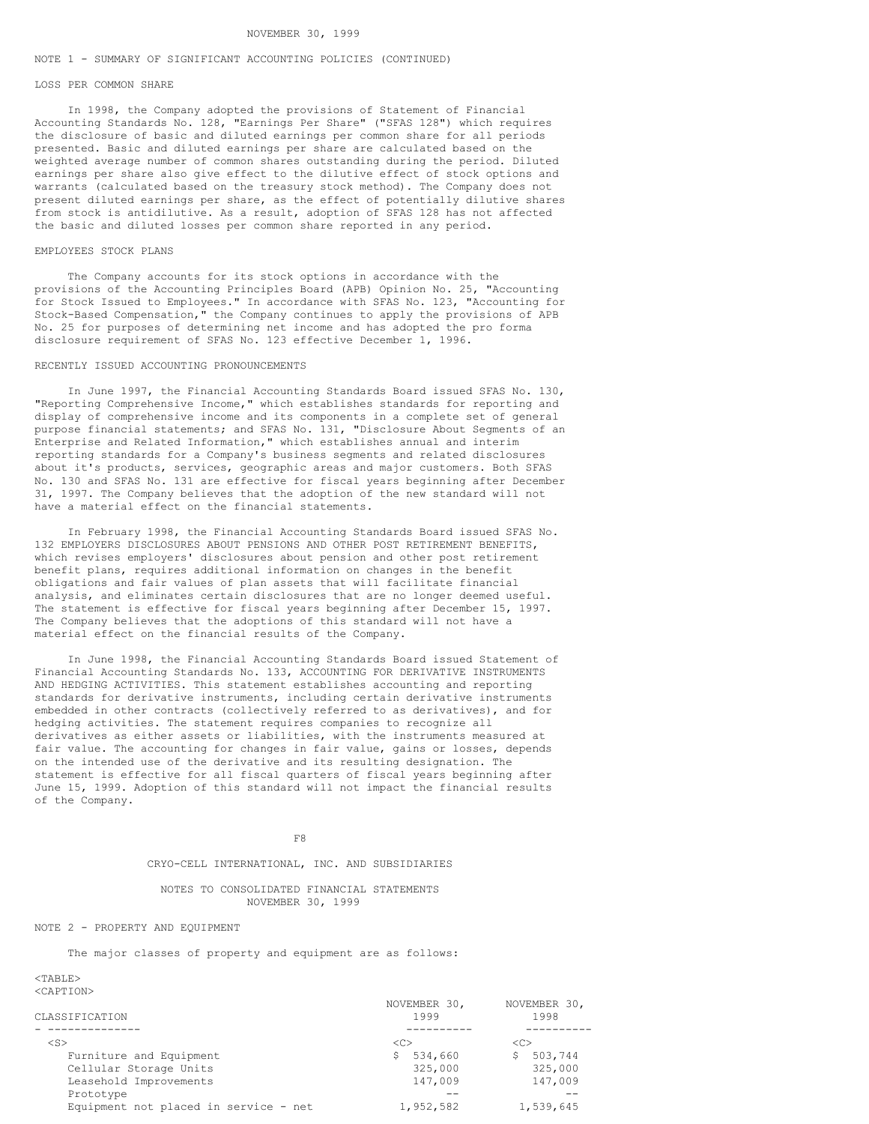### NOTE 1 - SUMMARY OF SIGNIFICANT ACCOUNTING POLICIES (CONTINUED)

### LOSS PER COMMON SHARE

In 1998, the Company adopted the provisions of Statement of Financial Accounting Standards No. 128, "Earnings Per Share" ("SFAS 128") which requires the disclosure of basic and diluted earnings per common share for all periods presented. Basic and diluted earnings per share are calculated based on the weighted average number of common shares outstanding during the period. Diluted earnings per share also give effect to the dilutive effect of stock options and warrants (calculated based on the treasury stock method). The Company does not present diluted earnings per share, as the effect of potentially dilutive shares from stock is antidilutive. As a result, adoption of SFAS 128 has not affected the basic and diluted losses per common share reported in any period.

### EMPLOYEES STOCK PLANS

The Company accounts for its stock options in accordance with the provisions of the Accounting Principles Board (APB) Opinion No. 25, "Accounting for Stock Issued to Employees." In accordance with SFAS No. 123, "Accounting for Stock-Based Compensation," the Company continues to apply the provisions of APB No. 25 for purposes of determining net income and has adopted the pro forma disclosure requirement of SFAS No. 123 effective December 1, 1996.

# RECENTLY ISSUED ACCOUNTING PRONOUNCEMENTS

In June 1997, the Financial Accounting Standards Board issued SFAS No. 130, "Reporting Comprehensive Income," which establishes standards for reporting and display of comprehensive income and its components in a complete set of general purpose financial statements; and SFAS No. 131, "Disclosure About Segments of an Enterprise and Related Information," which establishes annual and interim reporting standards for a Company's business segments and related disclosures about it's products, services, geographic areas and major customers. Both SFAS No. 130 and SFAS No. 131 are effective for fiscal years beginning after December 31, 1997. The Company believes that the adoption of the new standard will not have a material effect on the financial statements.

In February 1998, the Financial Accounting Standards Board issued SFAS No. 132 EMPLOYERS DISCLOSURES ABOUT PENSIONS AND OTHER POST RETIREMENT BENEFITS, which revises employers' disclosures about pension and other post retirement benefit plans, requires additional information on changes in the benefit obligations and fair values of plan assets that will facilitate financial analysis, and eliminates certain disclosures that are no longer deemed useful. The statement is effective for fiscal years beginning after December 15, 1997. The Company believes that the adoptions of this standard will not have a material effect on the financial results of the Company.

In June 1998, the Financial Accounting Standards Board issued Statement of Financial Accounting Standards No. 133, ACCOUNTING FOR DERIVATIVE INSTRUMENTS AND HEDGING ACTIVITIES. This statement establishes accounting and reporting standards for derivative instruments, including certain derivative instruments embedded in other contracts (collectively referred to as derivatives), and for hedging activities. The statement requires companies to recognize all derivatives as either assets or liabilities, with the instruments measured at fair value. The accounting for changes in fair value, gains or losses, depends on the intended use of the derivative and its resulting designation. The statement is effective for all fiscal quarters of fiscal years beginning after June 15, 1999. Adoption of this standard will not impact the financial results of the Company.

F8

### CRYO-CELL INTERNATIONAL, INC. AND SUBSIDIARIES

## NOTES TO CONSOLIDATED FINANCIAL STATEMENTS NOVEMBER 30, 1999

# NOTE 2 - PROPERTY AND EQUIPMENT

The major classes of property and equipment are as follows:

# $<$ TABLE>

<CAPTION>

| CLASSIFICATION                        | NOVEMBER 30,<br>1999 | NOVEMBER 30,<br>1998 |
|---------------------------------------|----------------------|----------------------|
|                                       |                      |                      |
|                                       |                      |                      |
| $<$ S>                                | -10                  | <<                   |
| Furniture and Equipment               | 534,660              | 503,744              |
| Cellular Storage Units                | 325,000              | 325,000              |
| Leasehold Improvements                | 147,009              | 147,009              |
| Prototype                             |                      |                      |
| Equipment not placed in service - net | 1,952,582            | 1,539,645            |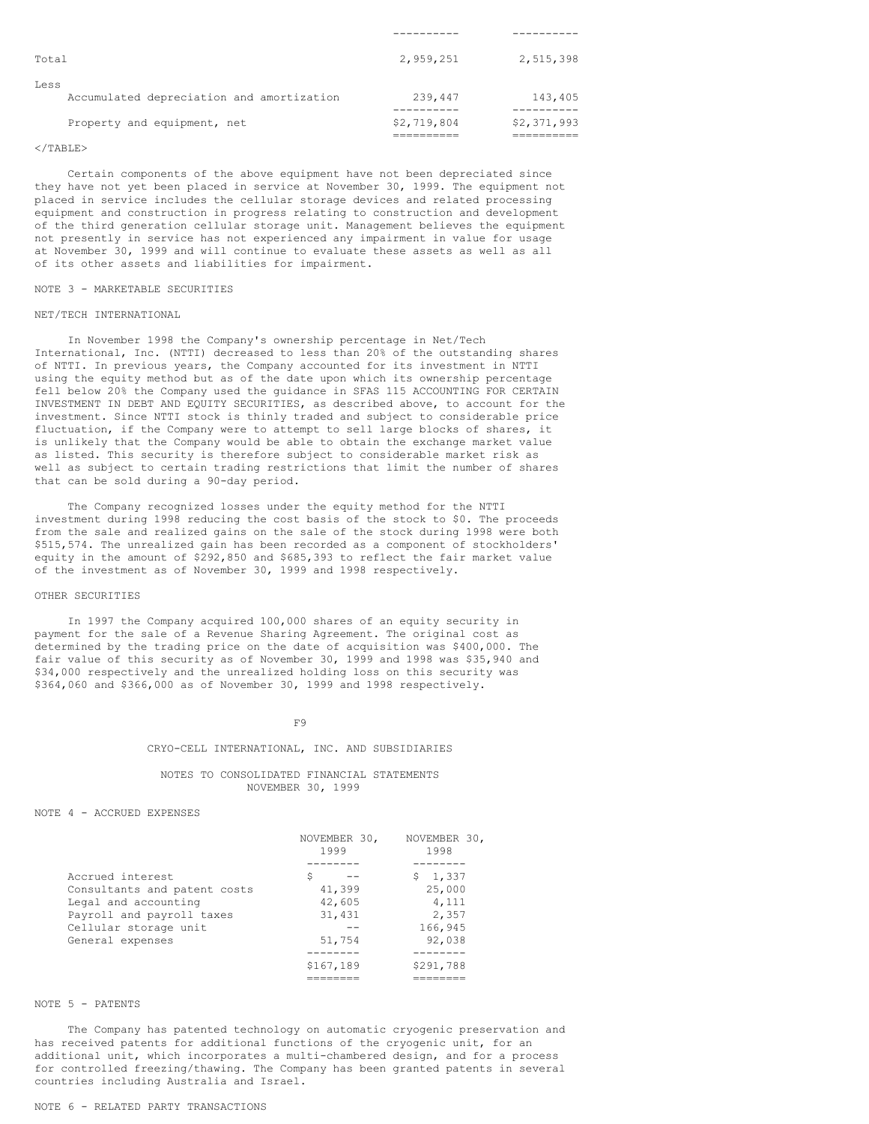| Total                                             | 2,959,251   | 2,515,398   |
|---------------------------------------------------|-------------|-------------|
| Less<br>Accumulated depreciation and amortization | 239,447     | 143,405     |
| Property and equipment, net                       | \$2,719,804 | \$2,371,993 |

#### $\langle$ /TABLE>

Certain components of the above equipment have not been depreciated since they have not yet been placed in service at November 30, 1999. The equipment not placed in service includes the cellular storage devices and related processing equipment and construction in progress relating to construction and development of the third generation cellular storage unit. Management believes the equipment not presently in service has not experienced any impairment in value for usage at November 30, 1999 and will continue to evaluate these assets as well as all of its other assets and liabilities for impairment.

# NOTE 3 - MARKETABLE SECURITIES

#### NET/TECH INTERNATIONAL

In November 1998 the Company's ownership percentage in Net/Tech International, Inc. (NTTI) decreased to less than 20% of the outstanding shares of NTTI. In previous years, the Company accounted for its investment in NTTI using the equity method but as of the date upon which its ownership percentage fell below 20% the Company used the guidance in SFAS 115 ACCOUNTING FOR CERTAIN INVESTMENT IN DEBT AND EQUITY SECURITIES, as described above, to account for the investment. Since NTTI stock is thinly traded and subject to considerable price fluctuation, if the Company were to attempt to sell large blocks of shares, it is unlikely that the Company would be able to obtain the exchange market value as listed. This security is therefore subject to considerable market risk as well as subject to certain trading restrictions that limit the number of shares that can be sold during a 90-day period.

The Company recognized losses under the equity method for the NTTI investment during 1998 reducing the cost basis of the stock to \$0. The proceeds from the sale and realized gains on the sale of the stock during 1998 were both \$515,574. The unrealized gain has been recorded as a component of stockholders' equity in the amount of \$292,850 and \$685,393 to reflect the fair market value of the investment as of November 30, 1999 and 1998 respectively.

### OTHER SECURITIES

In 1997 the Company acquired 100,000 shares of an equity security in payment for the sale of a Revenue Sharing Agreement. The original cost as determined by the trading price on the date of acquisition was \$400,000. The fair value of this security as of November 30, 1999 and 1998 was \$35,940 and \$34,000 respectively and the unrealized holding loss on this security was \$364,060 and \$366,000 as of November 30, 1999 and 1998 respectively.

### F9

# CRYO-CELL INTERNATIONAL, INC. AND SUBSIDIARIES

# NOTES TO CONSOLIDATED FINANCIAL STATEMENTS NOVEMBER 30, 1999

NOTE 4 - ACCRUED EXPENSES

|                              | NOVEMBER 30,<br>1999 | NOVEMBER 30,<br>1998 |
|------------------------------|----------------------|----------------------|
|                              |                      |                      |
| Accrued interest             | Ŝ                    | \$1,337              |
| Consultants and patent costs | 41,399               | 25,000               |
| Legal and accounting         | 42,605               | 4,111                |
| Payroll and payroll taxes    | 31,431               | 2,357                |
| Cellular storage unit        |                      | 166,945              |
| General expenses             | 51,754               | 92,038               |
|                              |                      |                      |
|                              | \$167,189            | \$291,788            |
|                              | =====                |                      |

# NOTE 5 - PATENTS

The Company has patented technology on automatic cryogenic preservation and has received patents for additional functions of the cryogenic unit, for an additional unit, which incorporates a multi-chambered design, and for a process for controlled freezing/thawing. The Company has been granted patents in several countries including Australia and Israel.

# NOTE 6 - RELATED PARTY TRANSACTIONS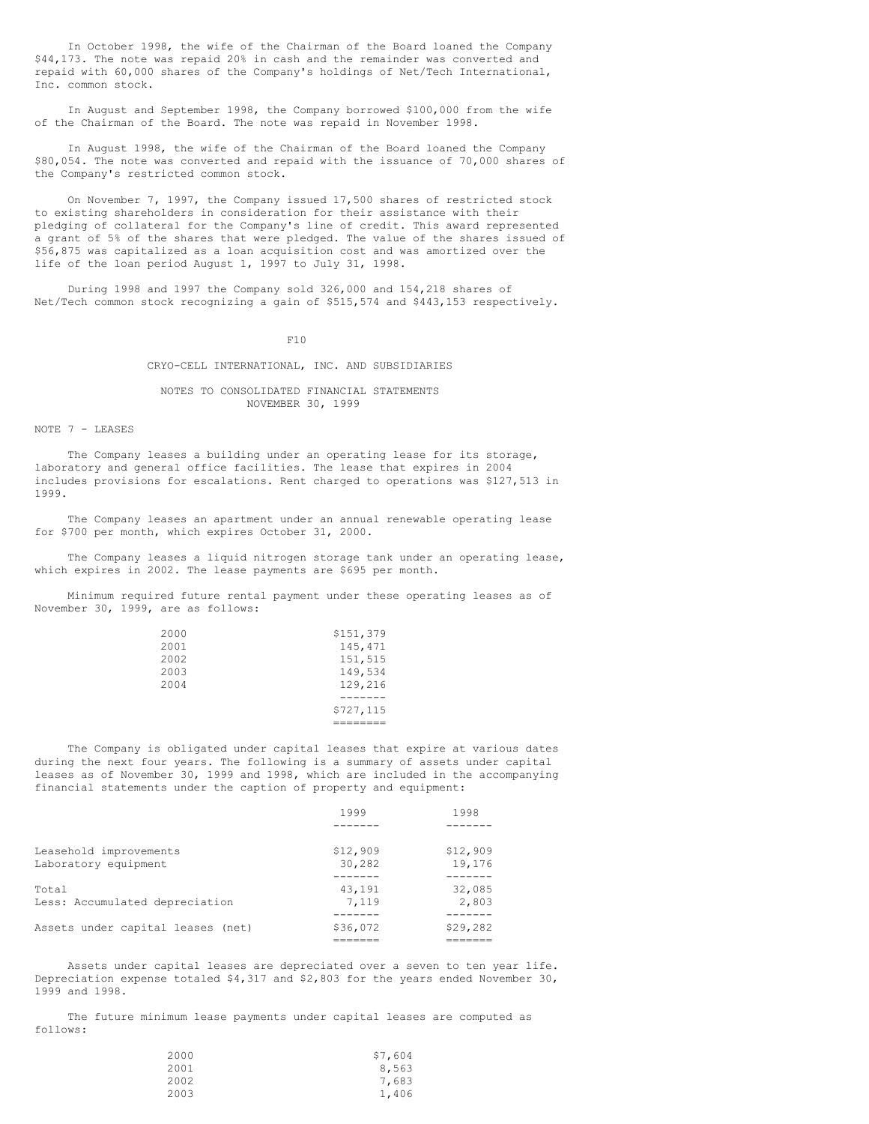In October 1998, the wife of the Chairman of the Board loaned the Company \$44,173. The note was repaid 20% in cash and the remainder was converted and repaid with 60,000 shares of the Company's holdings of Net/Tech International, Inc. common stock.

In August and September 1998, the Company borrowed \$100,000 from the wife of the Chairman of the Board. The note was repaid in November 1998.

In August 1998, the wife of the Chairman of the Board loaned the Company \$80,054. The note was converted and repaid with the issuance of 70,000 shares of the Company's restricted common stock.

On November 7, 1997, the Company issued 17,500 shares of restricted stock to existing shareholders in consideration for their assistance with their pledging of collateral for the Company's line of credit. This award represented a grant of 5% of the shares that were pledged. The value of the shares issued of \$56,875 was capitalized as a loan acquisition cost and was amortized over the life of the loan period August 1, 1997 to July 31, 1998.

During 1998 and 1997 the Company sold 326,000 and 154,218 shares of Net/Tech common stock recognizing a gain of \$515,574 and \$443,153 respectively.

 $F10$ 

#### CRYO-CELL INTERNATIONAL, INC. AND SUBSIDIARIES

# NOTES TO CONSOLIDATED FINANCIAL STATEMENTS NOVEMBER 30, 1999

#### NOTE 7 - LEASES

The Company leases a building under an operating lease for its storage, laboratory and general office facilities. The lease that expires in 2004 includes provisions for escalations. Rent charged to operations was \$127,513 in 1999.

The Company leases an apartment under an annual renewable operating lease for \$700 per month, which expires October 31, 2000.

The Company leases a liquid nitrogen storage tank under an operating lease, which expires in 2002. The lease payments are \$695 per month.

Minimum required future rental payment under these operating leases as of November 30, 1999, are as follows:

|      | \$727,115 |
|------|-----------|
|      |           |
| 2004 | 129,216   |
| 2003 | 149,534   |
| 2002 | 151,515   |
| 2001 | 145,471   |
| 2000 | \$151,379 |

The Company is obligated under capital leases that expire at various dates during the next four years. The following is a summary of assets under capital leases as of November 30, 1999 and 1998, which are included in the accompanying financial statements under the caption of property and equipment:

|                                                | 1999               | 1998               |
|------------------------------------------------|--------------------|--------------------|
|                                                |                    |                    |
| Leasehold improvements<br>Laboratory equipment | \$12,909<br>30,282 | \$12,909<br>19,176 |
| Total                                          | 43,191             | 32,085             |
| Less: Accumulated depreciation                 | 7.119              | 2,803              |
| Assets under capital leases (net)              | \$36,072           | \$29,282           |
|                                                |                    |                    |

Assets under capital leases are depreciated over a seven to ten year life. Depreciation expense totaled \$4,317 and \$2,803 for the years ended November 30, 1999 and 1998.

The future minimum lease payments under capital leases are computed as follows:

| 2000 | \$7,604 |
|------|---------|
| 2001 | 8,563   |
| 2002 | 7,683   |
| 2003 | 1,406   |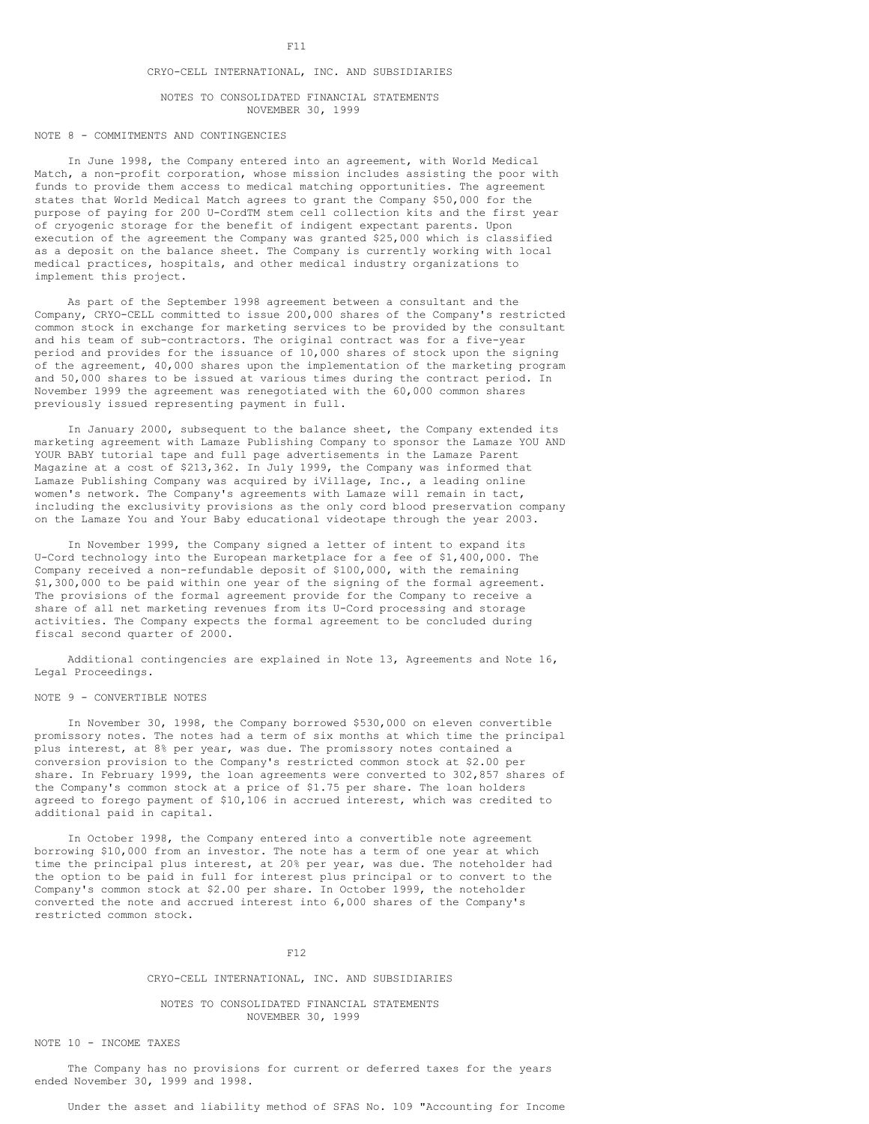# CRYO-CELL INTERNATIONAL, INC. AND SUBSIDIARIES

#### NOTES TO CONSOLIDATED FINANCIAL STATEMENTS NOVEMBER 30, 1999

# NOTE 8 - COMMITMENTS AND CONTINGENCIES

In June 1998, the Company entered into an agreement, with World Medical Match, a non-profit corporation, whose mission includes assisting the poor with funds to provide them access to medical matching opportunities. The agreement states that World Medical Match agrees to grant the Company \$50,000 for the purpose of paying for 200 U-CordTM stem cell collection kits and the first year of cryogenic storage for the benefit of indigent expectant parents. Upon execution of the agreement the Company was granted \$25,000 which is classified as a deposit on the balance sheet. The Company is currently working with local medical practices, hospitals, and other medical industry organizations to implement this project.

As part of the September 1998 agreement between a consultant and the Company, CRYO-CELL committed to issue 200,000 shares of the Company's restricted common stock in exchange for marketing services to be provided by the consultant and his team of sub-contractors. The original contract was for a five-year period and provides for the issuance of 10,000 shares of stock upon the signing of the agreement, 40,000 shares upon the implementation of the marketing program and 50,000 shares to be issued at various times during the contract period. In November 1999 the agreement was renegotiated with the 60,000 common shares previously issued representing payment in full.

In January 2000, subsequent to the balance sheet, the Company extended its marketing agreement with Lamaze Publishing Company to sponsor the Lamaze YOU AND YOUR BABY tutorial tape and full page advertisements in the Lamaze Parent Magazine at a cost of \$213,362. In July 1999, the Company was informed that Lamaze Publishing Company was acquired by iVillage, Inc., a leading online women's network. The Company's agreements with Lamaze will remain in tact, including the exclusivity provisions as the only cord blood preservation company on the Lamaze You and Your Baby educational videotape through the year 2003.

In November 1999, the Company signed a letter of intent to expand its U-Cord technology into the European marketplace for a fee of \$1,400,000. The Company received a non-refundable deposit of \$100,000, with the remaining \$1,300,000 to be paid within one year of the signing of the formal agreement. The provisions of the formal agreement provide for the Company to receive a share of all net marketing revenues from its U-Cord processing and storage activities. The Company expects the formal agreement to be concluded during fiscal second quarter of 2000.

Additional contingencies are explained in Note 13, Agreements and Note 16, Legal Proceedings.

#### NOTE 9 - CONVERTIBLE NOTES

In November 30, 1998, the Company borrowed \$530,000 on eleven convertible promissory notes. The notes had a term of six months at which time the principal plus interest, at 8% per year, was due. The promissory notes contained a conversion provision to the Company's restricted common stock at \$2.00 per share. In February 1999, the loan agreements were converted to 302,857 shares of the Company's common stock at a price of \$1.75 per share. The loan holders agreed to forego payment of \$10,106 in accrued interest, which was credited to additional paid in capital.

In October 1998, the Company entered into a convertible note agreement borrowing \$10,000 from an investor. The note has a term of one year at which time the principal plus interest, at 20% per year, was due. The noteholder had the option to be paid in full for interest plus principal or to convert to the Company's common stock at \$2.00 per share. In October 1999, the noteholder converted the note and accrued interest into 6,000 shares of the Company's restricted common stock.

### F12

## CRYO-CELL INTERNATIONAL, INC. AND SUBSIDIARIES

# NOTES TO CONSOLIDATED FINANCIAL STATEMENTS NOVEMBER 30, 1999

### NOTE 10 - INCOME TAXES

The Company has no provisions for current or deferred taxes for the years ended November 30, 1999 and 1998.

Under the asset and liability method of SFAS No. 109 "Accounting for Income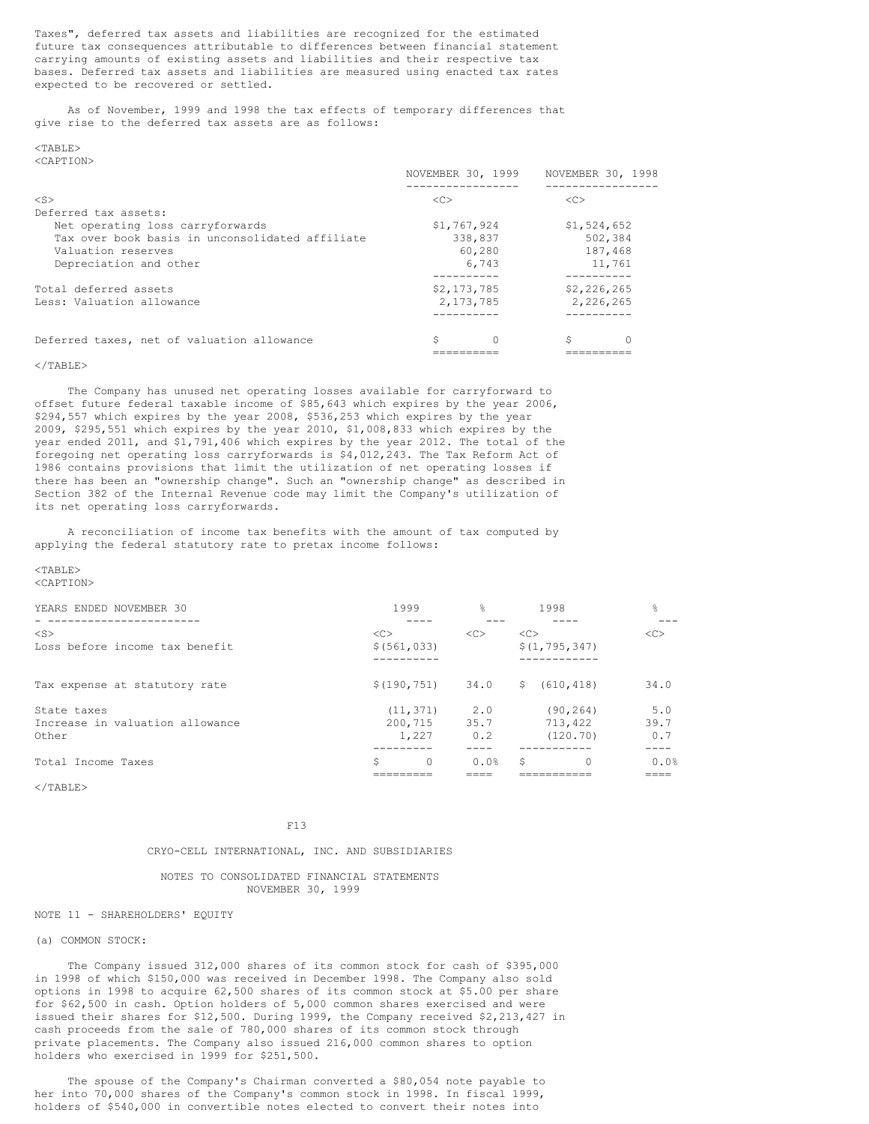Taxes", deferred tax assets and liabilities are recognized for the estimated future tax consequences attributable to differences between financial statement carrying amounts of existing assets and liabilities and their respective tax bases. Deferred tax assets and liabilities are measured using enacted tax rates expected to be recovered or settled.

As of November, 1999 and 1998 the tax effects of temporary differences that give rise to the deferred tax assets are as follows:

#### $<$ TABLE> <CAPTION>

|                                                 | NOVEMBER 30, 1999 | NOVEMBER 30, 1998  |
|-------------------------------------------------|-------------------|--------------------|
| $<$ S $>$                                       | < <sub></sub>     | < <sub></sub>      |
| Deferred tax assets:                            |                   |                    |
| Net operating loss carryforwards                | \$1,767,924       | \$1,524,652        |
| Tax over book basis in unconsolidated affiliate | 338,837           | 502,384            |
| Valuation reserves                              | 60,280            | 187.468            |
| Depreciation and other                          | 6.743             | 11,761             |
| Total deferred assets                           | \$2,173,785       | \$2,226,265        |
| Less: Valuation allowance                       | 2, 173, 785       | 2,226,265          |
|                                                 |                   |                    |
| Deferred taxes, net of valuation allowance      | \$                | \$<br><sup>0</sup> |
|                                                 |                   |                    |

# $\langle$ /TABLE>

The Company has unused net operating losses available for carryforward to offset future federal taxable income of \$85,643 which expires by the year 2006, \$294,557 which expires by the year 2008, \$536,253 which expires by the year 2009, \$295,551 which expires by the year 2010, \$1,008,833 which expires by the year ended 2011, and \$1,791,406 which expires by the year 2012. The total of the foregoing net operating loss carryforwards is \$4,012,243. The Tax Reform Act of 1986 contains provisions that limit the utilization of net operating losses if there has been an "ownership change". Such an "ownership change" as described in Section 382 of the Internal Revenue code may limit the Company's utilization of its net operating loss carryforwards.

A reconciliation of income tax benefits with the amount of tax computed by applying the federal statutory rate to pretax income follows:

#### <TABLE> <CAPTION>

YEARS ENDED NOVEMBER 30 1999 1999 8 1998 8 8 - ----------------------- ---- --- ---- --- <S> <C> <C> <C> <C> Loss before income tax benefit  $$(561,033)$ ---------- ------------ Tax expense at statutory rate  $$(190,751)$  34.0  $$(610,418)$  34.0 State taxes 6.0 (11,371) 2.0 (90,264) 5.0 Increase in valuation allowance  $200,715$  35.7 713,422 39.7<br>Other 1,227 0.2 (120.70) 0.7 Other 1,227 0.2 (120.70) 0.7 --------- ---- ---------- ----Total Income Taxes  $\begin{array}{ccccccc} 5 & 0 & 0.08 & 5 & 0 & 0.08 \end{array}$ ========= ==== =========== ====

 $<$ /TABLE>

F13

### CRYO-CELL INTERNATIONAL, INC. AND SUBSIDIARIES

### NOTES TO CONSOLIDATED FINANCIAL STATEMENTS NOVEMBER 30, 1999

# NOTE 11 - SHAREHOLDERS' EQUITY

## (a) COMMON STOCK:

The Company issued 312,000 shares of its common stock for cash of \$395,000 in 1998 of which \$150,000 was received in December 1998. The Company also sold options in 1998 to acquire 62,500 shares of its common stock at \$5.00 per share for \$62,500 in cash. Option holders of 5,000 common shares exercised and were issued their shares for \$12,500. During 1999, the Company received \$2,213,427 in cash proceeds from the sale of 780,000 shares of its common stock through private placements. The Company also issued 216,000 common shares to option holders who exercised in 1999 for \$251,500.

The spouse of the Company's Chairman converted a \$80,054 note payable to her into 70,000 shares of the Company's common stock in 1998. In fiscal 1999, holders of \$540,000 in convertible notes elected to convert their notes into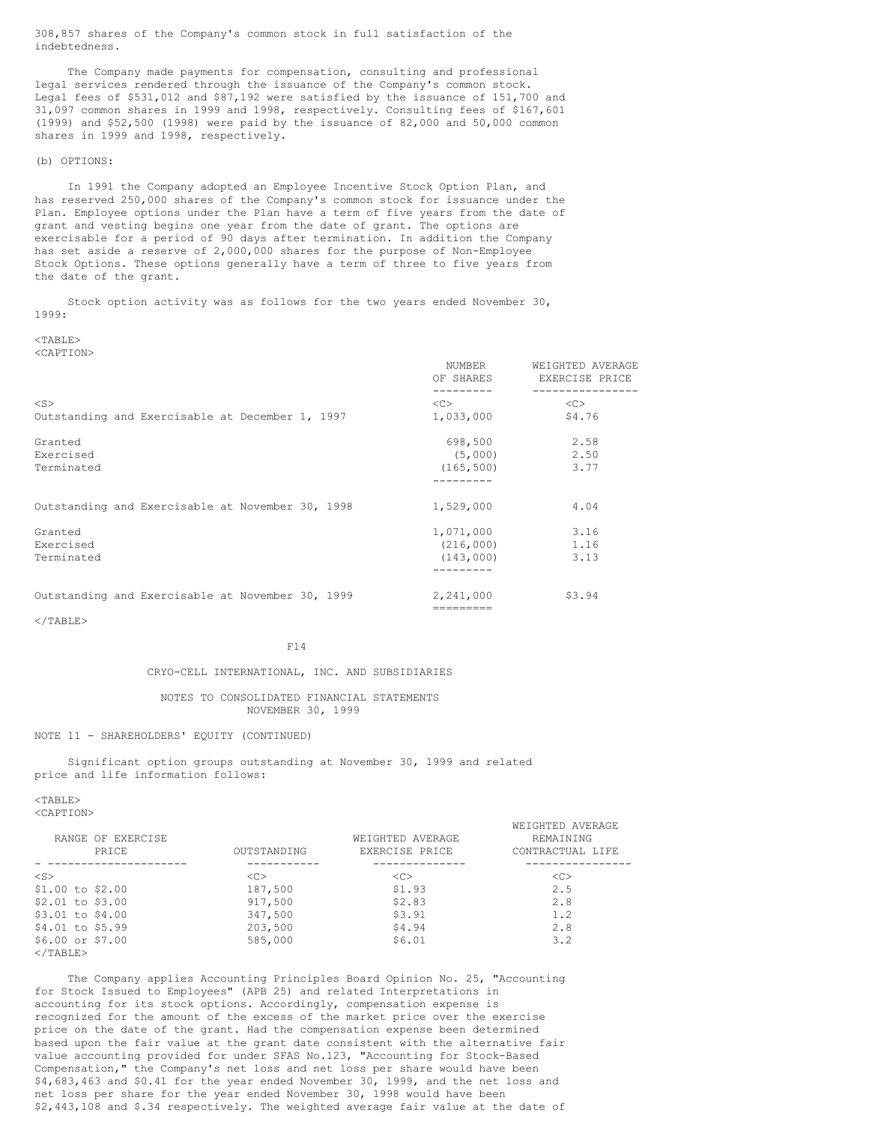308,857 shares of the Company's common stock in full satisfaction of the indebtedness.

The Company made payments for compensation, consulting and professional legal services rendered through the issuance of the Company's common stock. Legal fees of \$531,012 and \$87,192 were satisfied by the issuance of 151,700 and 31,097 common shares in 1999 and 1998, respectively. Consulting fees of \$167,601 (1999) and \$52,500 (1998) were paid by the issuance of 82,000 and 50,000 common shares in 1999 and 1998, respectively.

# (b) OPTIONS:

In 1991 the Company adopted an Employee Incentive Stock Option Plan, and has reserved 250,000 shares of the Company's common stock for issuance under the Plan. Employee options under the Plan have a term of five years from the date of grant and vesting begins one year from the date of grant. The options are exercisable for a period of 90 days after termination. In addition the Company has set aside a reserve of 2,000,000 shares for the purpose of Non-Employee Stock Options. These options generally have a term of three to five years from the date of the grant.

Stock option activity was as follows for the two years ended November 30, 1999:

#### $<$ TABLE> <CAPTION>

NUMBER WEIGHTED AVERAGE<br>OF SHARES EXERCISE PRICE EXERCISE PRICE --------- ---------------- <S> <C> <C> Outstanding and Exercisable at December 1, 1997  $1,033,000$  \$4.76 Granted  $698,500$  2.58 Exercised (5,000) 2.50  $\text{Terminaled} \quad \text{(165,500)} \quad \text{(166,500)}$ --------- Outstanding and Exercisable at November 30, 1998  $1,529,000$   $4.04$ Granted 1,071,000 3.16<br>Exercised 1,071,000 3.16  $(216,000)$ Terminated (143,000) 3.13 --------- Outstanding and Exercisable at November 30, 1999 2,241,000 \$3.94

=========

 $\langle$ /TABLE>

# F14

# CRYO-CELL INTERNATIONAL, INC. AND SUBSIDIARIES

# NOTES TO CONSOLIDATED FINANCIAL STATEMENTS NOVEMBER 30, 1999

# NOTE 11 - SHAREHOLDERS' EQUITY (CONTINUED)

Significant option groups outstanding at November 30, 1999 and related price and life information follows:

 $<$ TABLE>

<CAPTION>

| RANGE OF EXERCISE<br>PRICE | OUTSTANDING   | WEIGHTED AVERAGE<br>EXERCISE PRICE | WEIGHTED AVERAGE<br>REMAINING<br>CONTRACTUAL LIFE |
|----------------------------|---------------|------------------------------------|---------------------------------------------------|
|                            |               |                                    |                                                   |
| $<$ S $>$                  | < <sub></sub> | < <sub></sub>                      | <<>                                               |
| \$1.00 to \$2.00           | 187,500       | \$1.93                             | 2.5                                               |
| $$2.01$ to $$3.00$         | 917,500       | \$2.83                             | 2.8                                               |
| \$3.01 to \$4.00           | 347,500       | \$3.91                             | 1.2                                               |
| \$4.01 to \$5.99           | 203,500       | \$4.94                             | 2.8                                               |
| $$6.00$ or $$7.00$         | 585,000       | \$6.01                             | 3.2                                               |
| $\langle$ /TABLE>          |               |                                    |                                                   |

The Company applies Accounting Principles Board Opinion No. 25, "Accounting for Stock Issued to Employees" (APB 25) and related Interpretations in accounting for its stock options. Accordingly, compensation expense is recognized for the amount of the excess of the market price over the exercise price on the date of the grant. Had the compensation expense been determined based upon the fair value at the grant date consistent with the alternative fair value accounting provided for under SFAS No.123, "Accounting for Stock-Based Compensation," the Company's net loss and net loss per share would have been \$4,683,463 and \$0.41 for the year ended November 30, 1999, and the net loss and net loss per share for the year ended November 30, 1998 would have been \$2,443,108 and \$.34 respectively. The weighted average fair value at the date of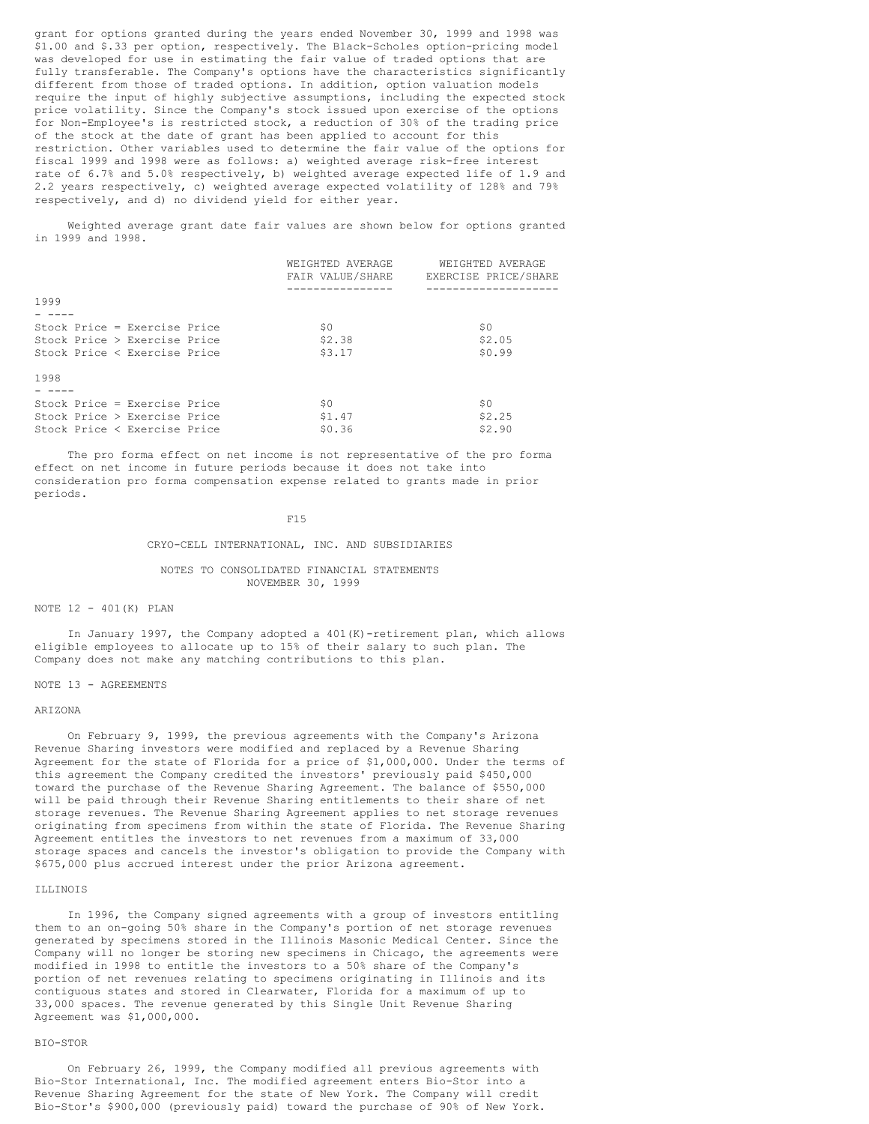grant for options granted during the years ended November 30, 1999 and 1998 was \$1.00 and \$.33 per option, respectively. The Black-Scholes option-pricing model was developed for use in estimating the fair value of traded options that are fully transferable. The Company's options have the characteristics significantly different from those of traded options. In addition, option valuation models require the input of highly subjective assumptions, including the expected stock price volatility. Since the Company's stock issued upon exercise of the options for Non-Employee's is restricted stock, a reduction of 30% of the trading price of the stock at the date of grant has been applied to account for this restriction. Other variables used to determine the fair value of the options for fiscal 1999 and 1998 were as follows: a) weighted average risk-free interest rate of 6.7% and 5.0% respectively, b) weighted average expected life of 1.9 and 2.2 years respectively, c) weighted average expected volatility of 128% and 79% respectively, and d) no dividend yield for either year.

Weighted average grant date fair values are shown below for options granted in 1999 and 1998.

|                              | WEIGHTED AVERAGE | WEIGHTED AVERAGE     |
|------------------------------|------------------|----------------------|
|                              | FAIR VALUE/SHARE | EXERCISE PRICE/SHARE |
|                              |                  |                      |
| 1999                         |                  |                      |
|                              |                  |                      |
| Stock Price = Exercise Price | \$0              | \$0                  |
| Stock Price > Exercise Price | \$2.38           | \$2.05               |
| Stock Price < Exercise Price | \$3.17           | \$0.99               |
|                              |                  |                      |
| 1998                         |                  |                      |
|                              |                  |                      |
| Stock Price = Exercise Price | \$0              | \$0                  |
| Stock Price > Exercise Price | \$1.47           | \$2.25               |
| Stock Price < Exercise Price | \$0.36           | \$2.90               |

The pro forma effect on net income is not representative of the pro forma effect on net income in future periods because it does not take into consideration pro forma compensation expense related to grants made in prior periods.

#### F15

# CRYO-CELL INTERNATIONAL, INC. AND SUBSIDIARIES

# NOTES TO CONSOLIDATED FINANCIAL STATEMENTS NOVEMBER 30, 1999

# NOTE 12 - 401(K) PLAN

In January 1997, the Company adopted a 401(K)-retirement plan, which allows eligible employees to allocate up to 15% of their salary to such plan. The Company does not make any matching contributions to this plan.

# NOTE 13 - AGREEMENTS

#### ARIZONA

On February 9, 1999, the previous agreements with the Company's Arizona Revenue Sharing investors were modified and replaced by a Revenue Sharing Agreement for the state of Florida for a price of \$1,000,000. Under the terms of this agreement the Company credited the investors' previously paid \$450,000 toward the purchase of the Revenue Sharing Agreement. The balance of \$550,000 will be paid through their Revenue Sharing entitlements to their share of net storage revenues. The Revenue Sharing Agreement applies to net storage revenues originating from specimens from within the state of Florida. The Revenue Sharing Agreement entitles the investors to net revenues from a maximum of 33,000 storage spaces and cancels the investor's obligation to provide the Company with \$675,000 plus accrued interest under the prior Arizona agreement.

#### ILLINOIS

In 1996, the Company signed agreements with a group of investors entitling them to an on-going 50% share in the Company's portion of net storage revenues generated by specimens stored in the Illinois Masonic Medical Center. Since the Company will no longer be storing new specimens in Chicago, the agreements were modified in 1998 to entitle the investors to a 50% share of the Company's portion of net revenues relating to specimens originating in Illinois and its contiguous states and stored in Clearwater, Florida for a maximum of up to 33,000 spaces. The revenue generated by this Single Unit Revenue Sharing Agreement was \$1,000,000.

# BIO-STOR

On February 26, 1999, the Company modified all previous agreements with Bio-Stor International, Inc. The modified agreement enters Bio-Stor into a Revenue Sharing Agreement for the state of New York. The Company will credit Bio-Stor's \$900,000 (previously paid) toward the purchase of 90% of New York.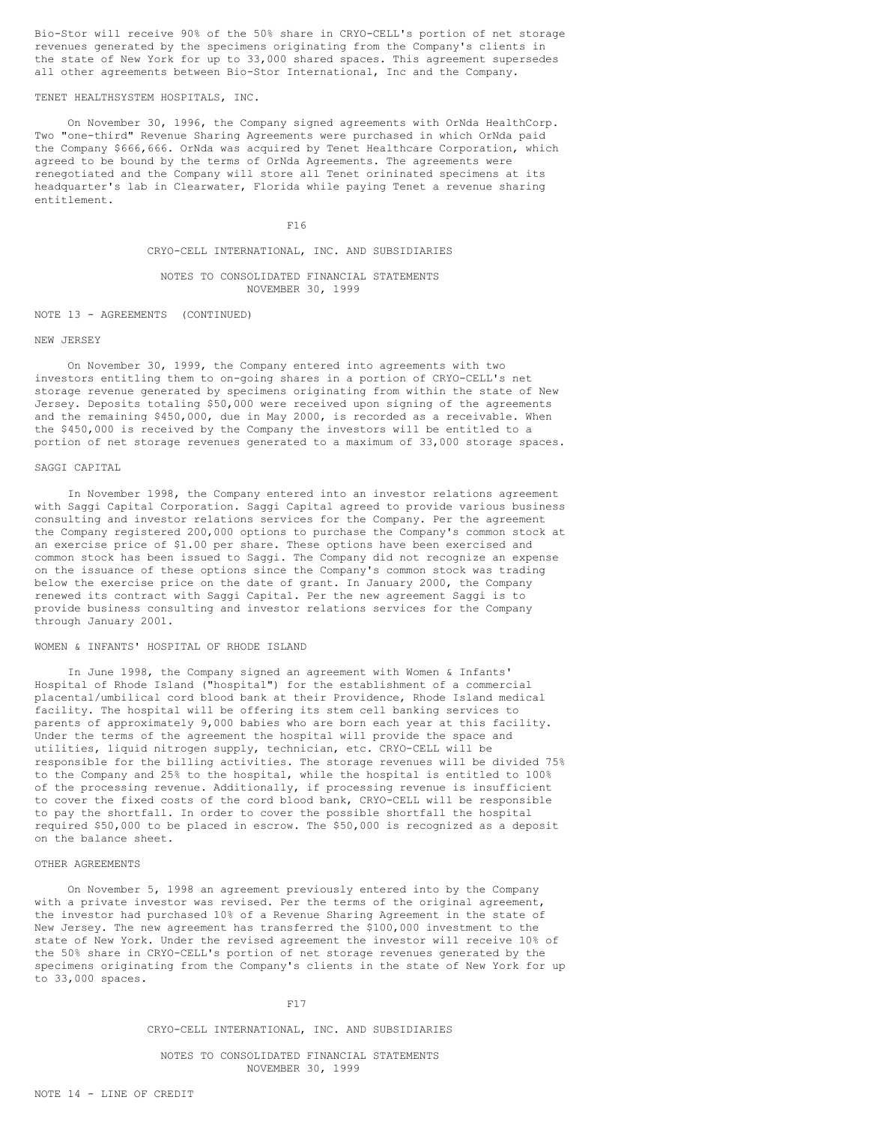Bio-Stor will receive 90% of the 50% share in CRYO-CELL's portion of net storage revenues generated by the specimens originating from the Company's clients in the state of New York for up to 33,000 shared spaces. This agreement supersedes all other agreements between Bio-Stor International, Inc and the Company.

# TENET HEALTHSYSTEM HOSPITALS, INC.

On November 30, 1996, the Company signed agreements with OrNda HealthCorp. Two "one-third" Revenue Sharing Agreements were purchased in which OrNda paid the Company \$666,666. OrNda was acquired by Tenet Healthcare Corporation, which agreed to be bound by the terms of OrNda Agreements. The agreements were renegotiated and the Company will store all Tenet orininated specimens at its headquarter's lab in Clearwater, Florida while paying Tenet a revenue sharing entitlement.

F16

# CRYO-CELL INTERNATIONAL, INC. AND SUBSIDIARIES

# NOTES TO CONSOLIDATED FINANCIAL STATEMENTS NOVEMBER 30, 1999

NOTE 13 - AGREEMENTS (CONTINUED)

#### NEW JERSEY

On November 30, 1999, the Company entered into agreements with two investors entitling them to on-going shares in a portion of CRYO-CELL's net storage revenue generated by specimens originating from within the state of New Jersey. Deposits totaling \$50,000 were received upon signing of the agreements and the remaining \$450,000, due in May 2000, is recorded as a receivable. When the \$450,000 is received by the Company the investors will be entitled to a portion of net storage revenues generated to a maximum of 33,000 storage spaces.

## SAGGI CAPITAL

In November 1998, the Company entered into an investor relations agreement with Saggi Capital Corporation. Saggi Capital agreed to provide various business consulting and investor relations services for the Company. Per the agreement the Company registered 200,000 options to purchase the Company's common stock at an exercise price of \$1.00 per share. These options have been exercised and common stock has been issued to Saggi. The Company did not recognize an expense on the issuance of these options since the Company's common stock was trading below the exercise price on the date of grant. In January 2000, the Company renewed its contract with Saggi Capital. Per the new agreement Saggi is to provide business consulting and investor relations services for the Company through January 2001.

# WOMEN & INFANTS' HOSPITAL OF RHODE ISLAND

In June 1998, the Company signed an agreement with Women & Infants' Hospital of Rhode Island ("hospital") for the establishment of a commercial placental/umbilical cord blood bank at their Providence, Rhode Island medical facility. The hospital will be offering its stem cell banking services to parents of approximately 9,000 babies who are born each year at this facility. Under the terms of the agreement the hospital will provide the space and utilities, liquid nitrogen supply, technician, etc. CRYO-CELL will be responsible for the billing activities. The storage revenues will be divided 75% to the Company and 25% to the hospital, while the hospital is entitled to 100% of the processing revenue. Additionally, if processing revenue is insufficient to cover the fixed costs of the cord blood bank, CRYO-CELL will be responsible to pay the shortfall. In order to cover the possible shortfall the hospital required \$50,000 to be placed in escrow. The \$50,000 is recognized as a deposit on the balance sheet.

### OTHER AGREEMENTS

On November 5, 1998 an agreement previously entered into by the Company with a private investor was revised. Per the terms of the original agreement, the investor had purchased 10% of a Revenue Sharing Agreement in the state of New Jersey. The new agreement has transferred the \$100,000 investment to the state of New York. Under the revised agreement the investor will receive 10% of the 50% share in CRYO-CELL's portion of net storage revenues generated by the specimens originating from the Company's clients in the state of New York for up to 33,000 spaces.

# F17

CRYO-CELL INTERNATIONAL, INC. AND SUBSIDIARIES

NOTES TO CONSOLIDATED FINANCIAL STATEMENTS NOVEMBER 30, 1999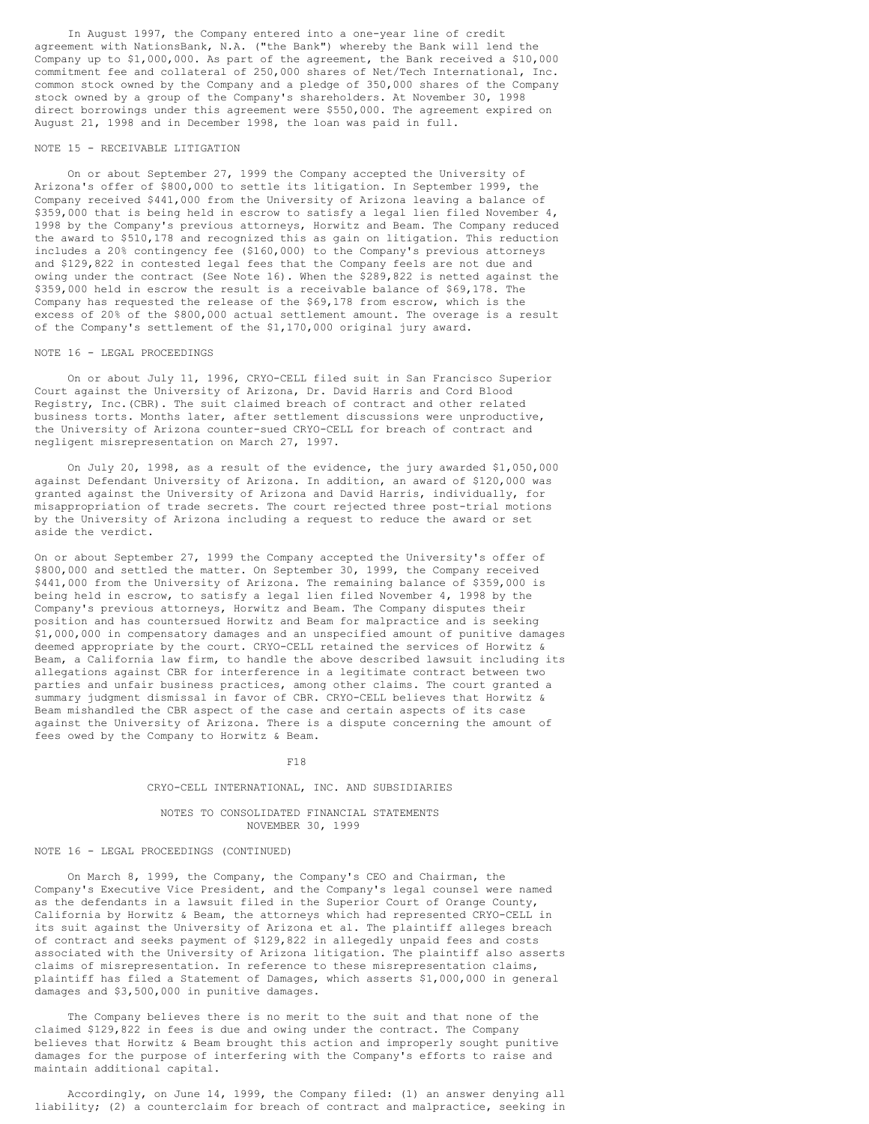In August 1997, the Company entered into a one-year line of credit agreement with NationsBank, N.A. ("the Bank") whereby the Bank will lend the Company up to \$1,000,000. As part of the agreement, the Bank received a \$10,000 commitment fee and collateral of 250,000 shares of Net/Tech International, Inc. common stock owned by the Company and a pledge of 350,000 shares of the Company stock owned by a group of the Company's shareholders. At November 30, 1998 direct borrowings under this agreement were \$550,000. The agreement expired on August 21, 1998 and in December 1998, the loan was paid in full.

#### NOTE 15 - RECEIVABLE LITIGATION

On or about September 27, 1999 the Company accepted the University of Arizona's offer of \$800,000 to settle its litigation. In September 1999, the Company received \$441,000 from the University of Arizona leaving a balance of \$359,000 that is being held in escrow to satisfy a legal lien filed November 4, 1998 by the Company's previous attorneys, Horwitz and Beam. The Company reduced the award to \$510,178 and recognized this as gain on litigation. This reduction includes a 20% contingency fee (\$160,000) to the Company's previous attorneys and \$129,822 in contested legal fees that the Company feels are not due and owing under the contract (See Note 16). When the \$289,822 is netted against the \$359,000 held in escrow the result is a receivable balance of \$69,178. The Company has requested the release of the \$69,178 from escrow, which is the excess of 20% of the \$800,000 actual settlement amount. The overage is a result of the Company's settlement of the \$1,170,000 original jury award.

# NOTE 16 - LEGAL PROCEEDINGS

On or about July 11, 1996, CRYO-CELL filed suit in San Francisco Superior Court against the University of Arizona, Dr. David Harris and Cord Blood Registry, Inc.(CBR). The suit claimed breach of contract and other related business torts. Months later, after settlement discussions were unproductive, the University of Arizona counter-sued CRYO-CELL for breach of contract and negligent misrepresentation on March 27, 1997.

On July 20, 1998, as a result of the evidence, the jury awarded \$1,050,000 against Defendant University of Arizona. In addition, an award of \$120,000 was granted against the University of Arizona and David Harris, individually, for misappropriation of trade secrets. The court rejected three post-trial motions by the University of Arizona including a request to reduce the award or set aside the verdict.

On or about September 27, 1999 the Company accepted the University's offer of \$800,000 and settled the matter. On September 30, 1999, the Company received \$441,000 from the University of Arizona. The remaining balance of \$359,000 is being held in escrow, to satisfy a legal lien filed November 4, 1998 by the Company's previous attorneys, Horwitz and Beam. The Company disputes their position and has countersued Horwitz and Beam for malpractice and is seeking \$1,000,000 in compensatory damages and an unspecified amount of punitive damages deemed appropriate by the court. CRYO-CELL retained the services of Horwitz & Beam, a California law firm, to handle the above described lawsuit including its allegations against CBR for interference in a legitimate contract between two parties and unfair business practices, among other claims. The court granted a summary judgment dismissal in favor of CBR. CRYO-CELL believes that Horwitz & Beam mishandled the CBR aspect of the case and certain aspects of its case against the University of Arizona. There is a dispute concerning the amount of fees owed by the Company to Horwitz & Beam.

#### F18

# CRYO-CELL INTERNATIONAL, INC. AND SUBSIDIARIES

# NOTES TO CONSOLIDATED FINANCIAL STATEMENTS NOVEMBER 30, 1999

# NOTE 16 - LEGAL PROCEEDINGS (CONTINUED)

On March 8, 1999, the Company, the Company's CEO and Chairman, the Company's Executive Vice President, and the Company's legal counsel were named as the defendants in a lawsuit filed in the Superior Court of Orange County, California by Horwitz & Beam, the attorneys which had represented CRYO-CELL in its suit against the University of Arizona et al. The plaintiff alleges breach of contract and seeks payment of \$129,822 in allegedly unpaid fees and costs associated with the University of Arizona litigation. The plaintiff also asserts claims of misrepresentation. In reference to these misrepresentation claims, plaintiff has filed a Statement of Damages, which asserts \$1,000,000 in general damages and \$3,500,000 in punitive damages.

The Company believes there is no merit to the suit and that none of the claimed \$129,822 in fees is due and owing under the contract. The Company believes that Horwitz & Beam brought this action and improperly sought punitive damages for the purpose of interfering with the Company's efforts to raise and maintain additional capital.

Accordingly, on June 14, 1999, the Company filed: (1) an answer denying all liability; (2) a counterclaim for breach of contract and malpractice, seeking in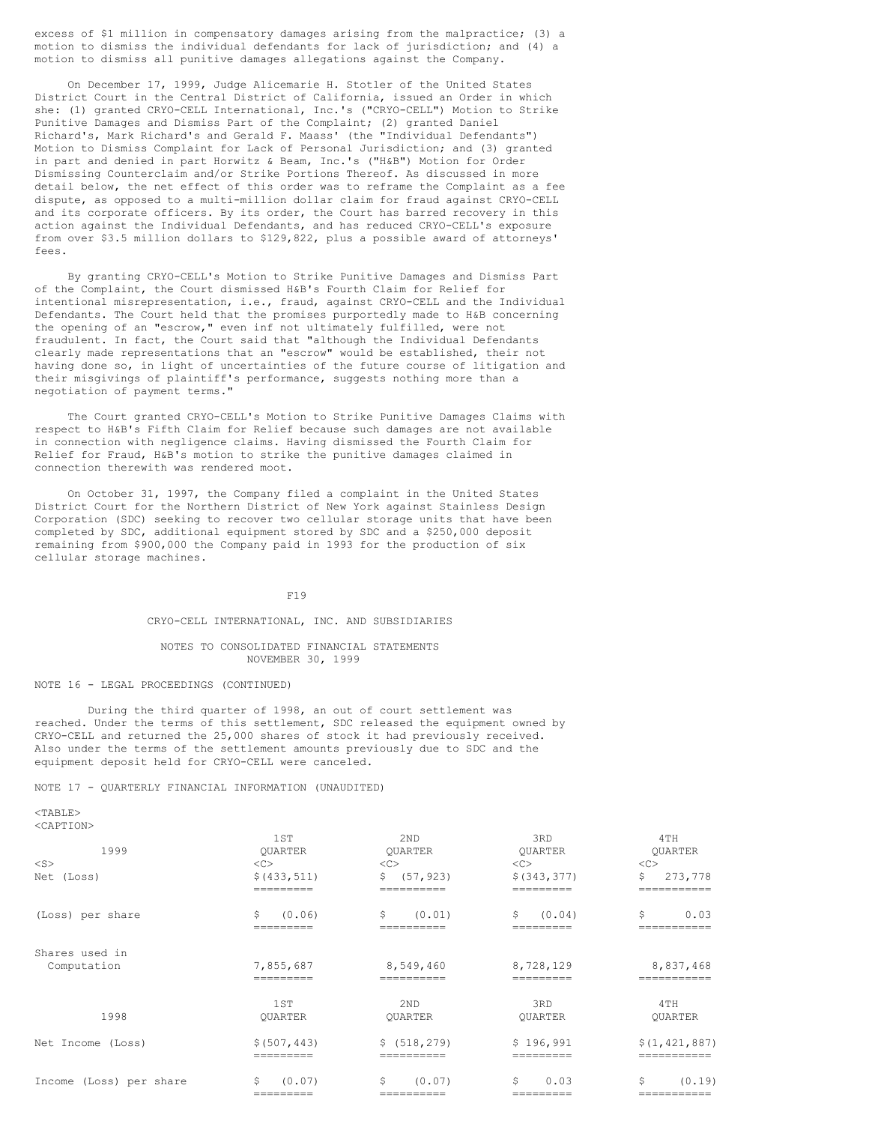excess of \$1 million in compensatory damages arising from the malpractice; (3) a motion to dismiss the individual defendants for lack of jurisdiction; and (4) a motion to dismiss all punitive damages allegations against the Company.

On December 17, 1999, Judge Alicemarie H. Stotler of the United States District Court in the Central District of California, issued an Order in which she: (1) granted CRYO-CELL International, Inc.'s ("CRYO-CELL") Motion to Strike Punitive Damages and Dismiss Part of the Complaint; (2) granted Daniel Richard's, Mark Richard's and Gerald F. Maass' (the "Individual Defendants") Motion to Dismiss Complaint for Lack of Personal Jurisdiction; and (3) granted in part and denied in part Horwitz & Beam, Inc.'s ("H&B") Motion for Order Dismissing Counterclaim and/or Strike Portions Thereof. As discussed in more detail below, the net effect of this order was to reframe the Complaint as a fee dispute, as opposed to a multi-million dollar claim for fraud against CRYO-CELL and its corporate officers. By its order, the Court has barred recovery in this action against the Individual Defendants, and has reduced CRYO-CELL's exposure from over \$3.5 million dollars to \$129,822, plus a possible award of attorneys' fees.

By granting CRYO-CELL's Motion to Strike Punitive Damages and Dismiss Part of the Complaint, the Court dismissed H&B's Fourth Claim for Relief for intentional misrepresentation, i.e., fraud, against CRYO-CELL and the Individual Defendants. The Court held that the promises purportedly made to H&B concerning the opening of an "escrow," even inf not ultimately fulfilled, were not fraudulent. In fact, the Court said that "although the Individual Defendants clearly made representations that an "escrow" would be established, their not having done so, in light of uncertainties of the future course of litigation and their misgivings of plaintiff's performance, suggests nothing more than a negotiation of payment terms."

The Court granted CRYO-CELL's Motion to Strike Punitive Damages Claims with respect to H&B's Fifth Claim for Relief because such damages are not available in connection with negligence claims. Having dismissed the Fourth Claim for Relief for Fraud, H&B's motion to strike the punitive damages claimed in connection therewith was rendered moot.

On October 31, 1997, the Company filed a complaint in the United States District Court for the Northern District of New York against Stainless Design Corporation (SDC) seeking to recover two cellular storage units that have been completed by SDC, additional equipment stored by SDC and a \$250,000 deposit remaining from \$900,000 the Company paid in 1993 for the production of six cellular storage machines.

F19

#### CRYO-CELL INTERNATIONAL, INC. AND SUBSIDIARIES

## NOTES TO CONSOLIDATED FINANCIAL STATEMENTS NOVEMBER 30, 1999

# NOTE 16 - LEGAL PROCEEDINGS (CONTINUED)

During the third quarter of 1998, an out of court settlement was reached. Under the terms of this settlement, SDC released the equipment owned by CRYO-CELL and returned the 25,000 shares of stock it had previously received. Also under the terms of the settlement amounts previously due to SDC and the equipment deposit held for CRYO-CELL were canceled.

NOTE 17 - QUARTERLY FINANCIAL INFORMATION (UNAUDITED)

| 1999                    | 1ST<br><b>OUARTER</b> | 2 <sub>ND</sub><br><b>OUARTER</b> | 3RD<br><b>OUARTER</b> | 4TH<br>QUARTER  |
|-------------------------|-----------------------|-----------------------------------|-----------------------|-----------------|
| $<$ S $>$               | <<                    | <<                                | <<                    | <<              |
| Net (Loss)              | \$ (433, 511)         | (57, 923)<br>\$                   | \$ (343, 377)         | \$<br>273,778   |
|                         | =========             | ==========                        | =========             | -----------     |
| (Loss) per share        | Ŝ.<br>(0.06)          | \$<br>(0.01)                      | Ŝ.<br>(0.04)          | \$<br>0.03      |
|                         |                       |                                   |                       |                 |
| Shares used in          |                       |                                   |                       |                 |
| Computation             | 7,855,687             | 8,549,460                         | 8,728,129             | 8,837,468       |
|                         | --------              | ----------                        | --------              | ----------      |
|                         | 1ST                   | 2 <sub>ND</sub>                   | 3RD                   | 4TH             |
| 1998                    | <b>OUARTER</b>        | <b>OUARTER</b>                    | <b>OUARTER</b>        | <b>OUARTER</b>  |
| Net Income (Loss)       | \$ (507, 443)         | \$ (518, 279)                     | \$196,991             | \$(1, 421, 887) |
|                         | =========             | ==========                        | =========             | ===========     |
| Income (Loss) per share | \$<br>(0.07)          | \$<br>(0.07)                      | \$<br>0.03            | \$<br>(0.19)    |
|                         | =========             | ==========                        | ========              | ===========     |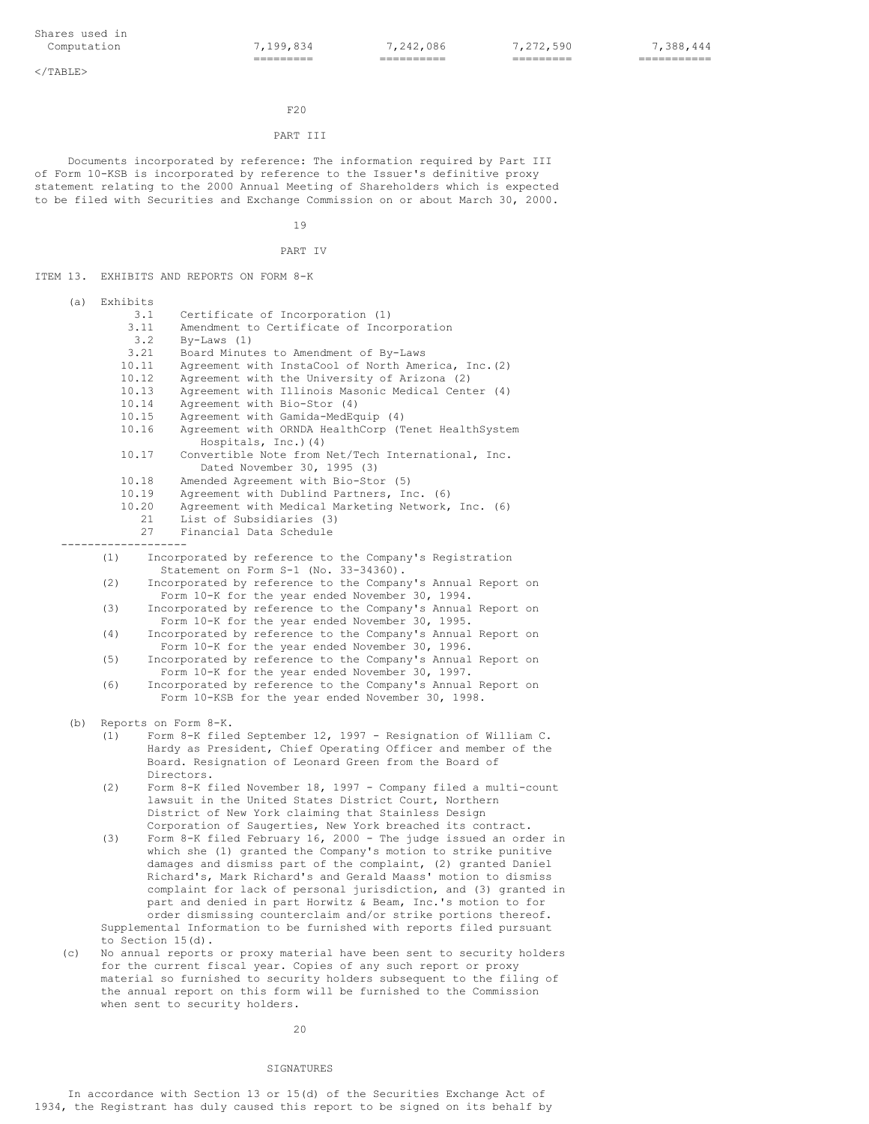$<$ /TABLE>

## $F20$

# PART III

Documents incorporated by reference: The information required by Part III of Form 10-KSB is incorporated by reference to the Issuer's definitive proxy statement relating to the 2000 Annual Meeting of Shareholders which is expected to be filed with Securities and Exchange Commission on or about March 30, 2000.

19

```
PART IV
```
ITEM 13. EXHIBITS AND REPORTS ON FORM 8-K

(a) Exhibits 3.1 Certificate of Incorporation (1)<br>3.11 Amendment to Certificate of Inco Amendment to Certificate of Incorporation 3.2 By-Laws (1) Board Minutes to Amendment of By-Laws 10.11 Agreement with InstaCool of North America, Inc.(2) 10.12 Agreement with the University of Arizona (2) 10.13 Agreement with Illinois Masonic Medical Center (4)<br>10.14 Agreement with Bio-Stor (4) 10.14 Agreement with Bio-Stor (4)<br>10.15 Agreement with Gamida-MedEg Agreement with Gamida-MedEquip (4) 10.16 Agreement with ORNDA HealthCorp (Tenet HealthSystem Hospitals, Inc.)(4) 10.17 Convertible Note from Net/Tech International, Inc. Dated November 30, 1995 (3) 10.18 Amended Agreement with Bio-Stor (5) 10.19 Agreement with Dublind Partners, Inc. (6)<br>10.20 Agreement with Medical Marketing Network, Agreement with Medical Marketing Network, Inc. (6) 21 List of Subsidiaries (3) 27 Financial Data Schedule ------------------- (1) Incorporated by reference to the Company's Registration Statement on Form S-1 (No. 33-34360). (2) Incorporated by reference to the Company's Annual Report on Form 10-K for the year ended November 30, 1994. (3) Incorporated by reference to the Company's Annual Report on Form 10-K for the year ended November 30, 1995. (4) Incorporated by reference to the Company's Annual Report on Form 10-K for the year ended November 30, 1996. (5) Incorporated by reference to the Company's Annual Report on Form 10-K for the year ended November 30, 1997. (6) Incorporated by reference to the Company's Annual Report on Form 10-KSB for the year ended November 30, 1998. (b) Reports on Form 8-K. (1) Form 8-K filed September 12, 1997 - Resignation of William C. Hardy as President, Chief Operating Officer and member of the Board. Resignation of Leonard Green from the Board of Directors. (2) Form 8-K filed November 18, 1997 - Company filed a multi-count lawsuit in the United States District Court, Northern District of New York claiming that Stainless Design Corporation of Saugerties, New York breached its contract. (3) Form 8-K filed February 16, 2000 - The judge issued an order in which she (1) granted the Company's motion to strike punitive damages and dismiss part of the complaint, (2) granted Daniel Richard's, Mark Richard's and Gerald Maass' motion to dismiss complaint for lack of personal jurisdiction, and (3) granted in part and denied in part Horwitz & Beam, Inc.'s motion to for order dismissing counterclaim and/or strike portions thereof. Supplemental Information to be furnished with reports filed pursuant to Section 15(d). (c) No annual reports or proxy material have been sent to security holders for the current fiscal year. Copies of any such report or proxy material so furnished to security holders subsequent to the filing of

20

when sent to security holders.

the annual report on this form will be furnished to the Commission

# SIGNATURES

In accordance with Section 13 or 15(d) of the Securities Exchange Act of 1934, the Registrant has duly caused this report to be signed on its behalf by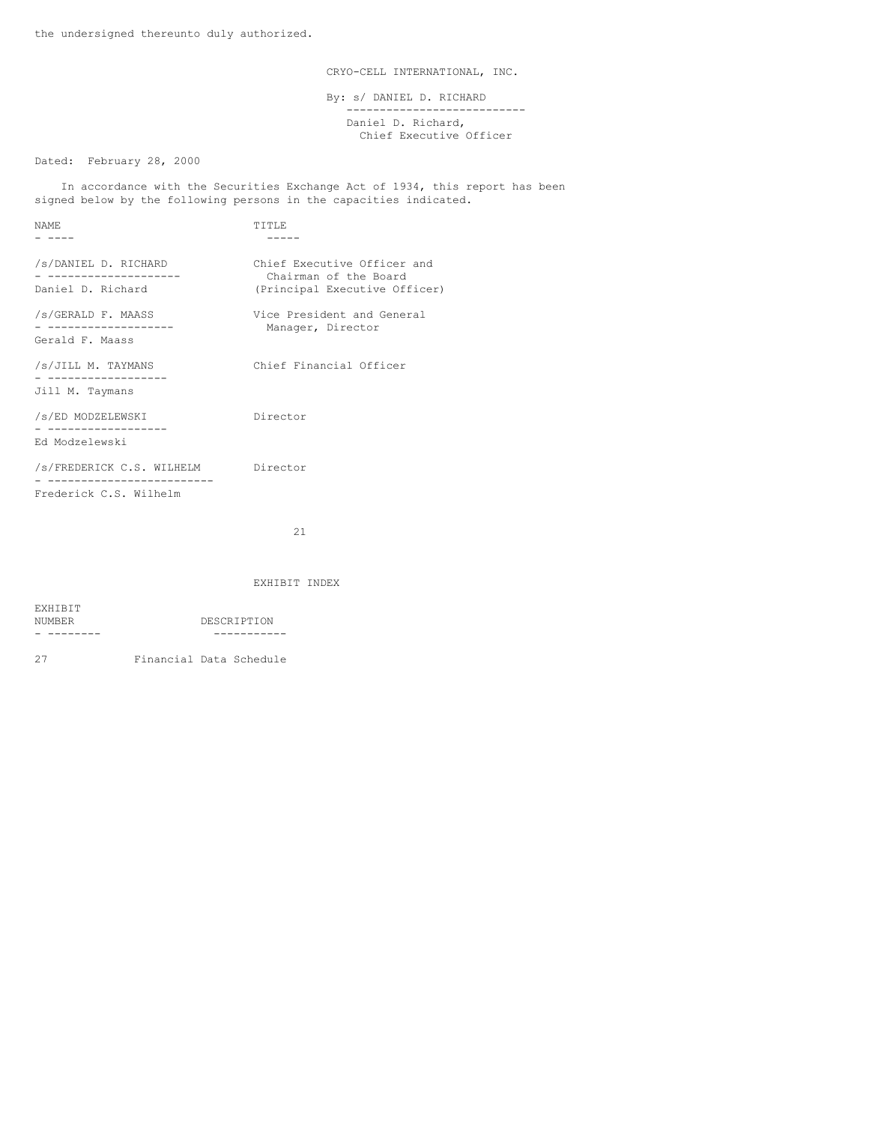CRYO-CELL INTERNATIONAL, INC.

By: s/ DANIEL D. RICHARD --------------------------- Daniel D. Richard, Chief Executive Officer

Dated: February 28, 2000

In accordance with the Securities Exchange Act of 1934, this report has been signed below by the following persons in the capacities indicated.

| NAME.                                                        | TTTLE                                                                                 |
|--------------------------------------------------------------|---------------------------------------------------------------------------------------|
|                                                              |                                                                                       |
| /s/DANIEL D. RICHARD<br>Daniel D. Richard                    | Chief Executive Officer and<br>Chairman of the Board<br>(Principal Executive Officer) |
| /s/GERALD F. MAASS<br>-------------------<br>Gerald F. Maass | Vice President and General<br>Manager, Director                                       |
| /s/JILL M. TAYMANS<br>Jill M. Taymans                        | Chief Financial Officer                                                               |
| /s/ED MODZELEWSKI<br>Ed Modzelewski                          | Director                                                                              |
| /s/FREDERICK C.S. WILHELM<br>Frederick C.S. Wilhelm          | Director                                                                              |

21

# EXHIBIT INDEX

| EXHIBIT |             |
|---------|-------------|
| NUMBER  | DESCRIPTION |
|         |             |

27 Financial Data Schedule